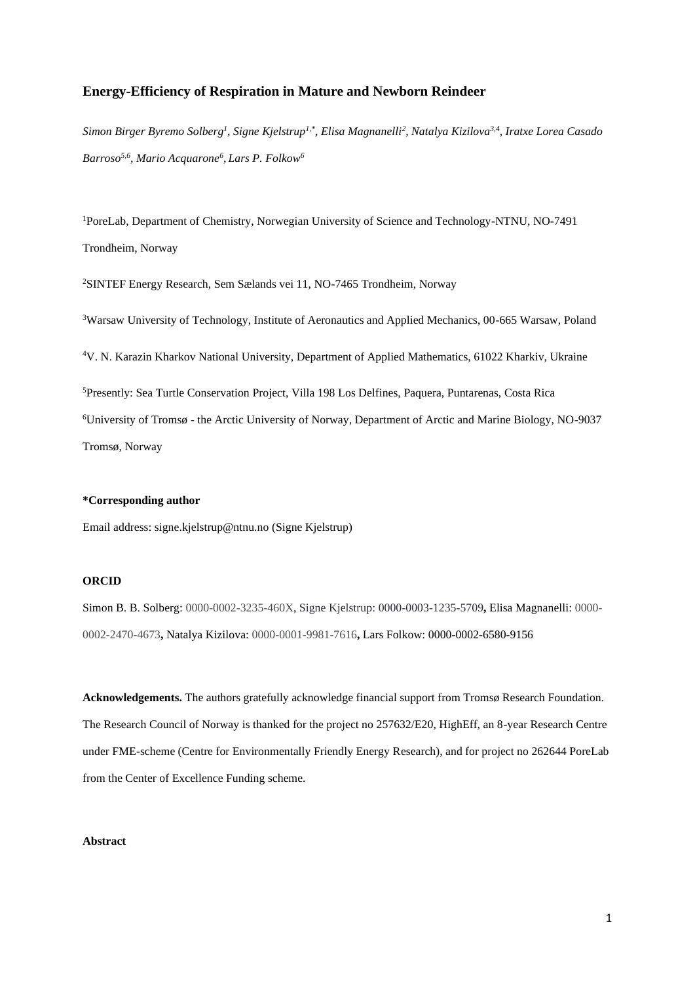# **Energy-Efficiency of Respiration in Mature and Newborn Reindeer**

*Simon Birger Byremo Solberg<sup>1</sup> , Signe Kjelstrup1,\*, Elisa Magnanelli<sup>2</sup> , Natalya Kizilova3,4, Iratxe Lorea Casado Barroso5,6, Mario Acquarone<sup>6</sup> , Lars P. Folkow<sup>6</sup>*

<sup>1</sup>PoreLab, Department of Chemistry, Norwegian University of Science and Technology-NTNU, NO-7491 Trondheim, Norway

<sup>2</sup>SINTEF Energy Research, Sem Sælands vei 11, NO-7465 Trondheim, Norway

Warsaw University of Technology, Institute of Aeronautics and Applied Mechanics, 00-665 Warsaw, Poland V. N. Karazin Kharkov National University, Department of Applied Mathematics, 61022 Kharkiv, Ukraine Presently: Sea Turtle Conservation Project, Villa 198 Los Delfines, Paquera, Puntarenas, Costa Rica University of Tromsø - the Arctic University of Norway, Department of Arctic and Marine Biology, NO-9037 Tromsø, Norway

### **\*Corresponding author**

Email address: signe.kjelstrup@ntnu.no (Signe Kjelstrup)

# **ORCID**

Simon B. B. Solberg: 0000-0002-3235-460X, Signe Kjelstrup: 0000-0003-1235-5709**,** Elisa Magnanelli: 0000- 0002-2470-4673**,** Natalya Kizilova: 0000-0001-9981-7616**,** Lars Folkow: 0000-0002-6580-9156

**Acknowledgements.** The authors gratefully acknowledge financial support from Tromsø Research Foundation. The Research Council of Norway is thanked for the project no 257632/E20, HighEff, an 8-year Research Centre under FME-scheme (Centre for Environmentally Friendly Energy Research), and for project no 262644 PoreLab from the Center of Excellence Funding scheme.

## **Abstract**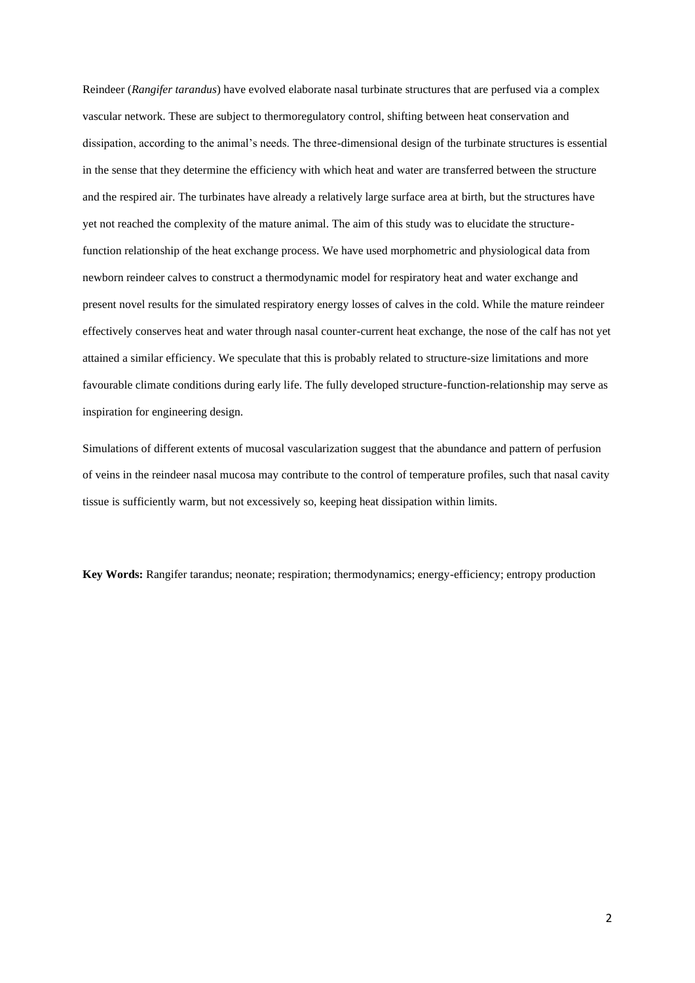Reindeer (*Rangifer tarandus*) have evolved elaborate nasal turbinate structures that are perfused via a complex vascular network. These are subject to thermoregulatory control, shifting between heat conservation and dissipation, according to the animal's needs. The three-dimensional design of the turbinate structures is essential in the sense that they determine the efficiency with which heat and water are transferred between the structure and the respired air. The turbinates have already a relatively large surface area at birth, but the structures have yet not reached the complexity of the mature animal. The aim of this study was to elucidate the structurefunction relationship of the heat exchange process. We have used morphometric and physiological data from newborn reindeer calves to construct a thermodynamic model for respiratory heat and water exchange and present novel results for the simulated respiratory energy losses of calves in the cold. While the mature reindeer effectively conserves heat and water through nasal counter-current heat exchange, the nose of the calf has not yet attained a similar efficiency. We speculate that this is probably related to structure-size limitations and more favourable climate conditions during early life. The fully developed structure-function-relationship may serve as inspiration for engineering design.

Simulations of different extents of mucosal vascularization suggest that the abundance and pattern of perfusion of veins in the reindeer nasal mucosa may contribute to the control of temperature profiles, such that nasal cavity tissue is sufficiently warm, but not excessively so, keeping heat dissipation within limits.

**Key Words:** Rangifer tarandus; neonate; respiration; thermodynamics; energy-efficiency; entropy production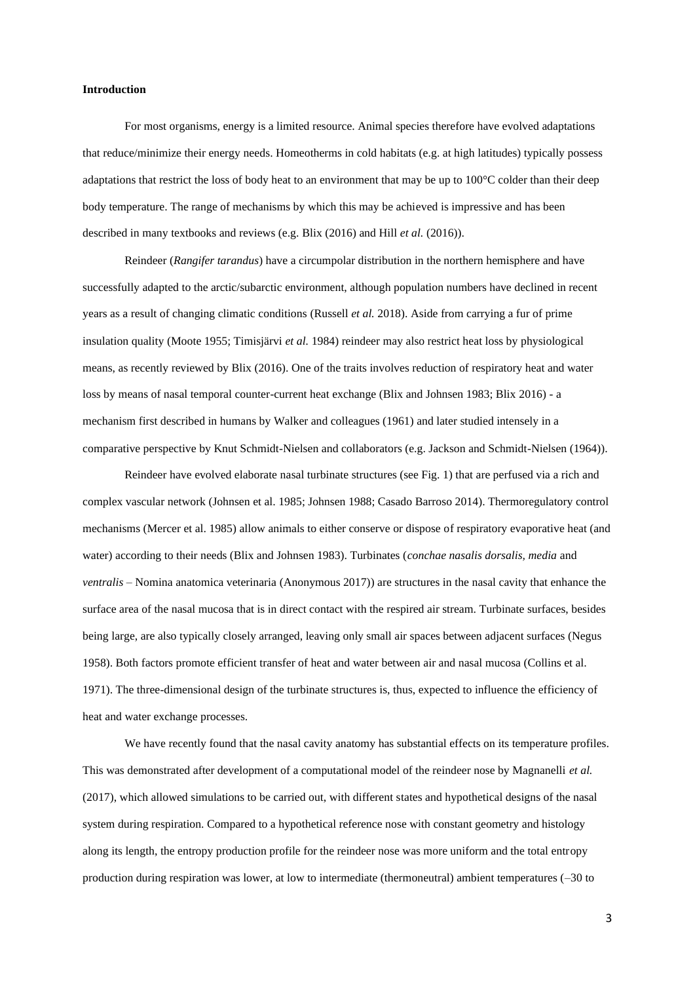## **Introduction**

For most organisms, energy is a limited resource. Animal species therefore have evolved adaptations that reduce/minimize their energy needs. Homeotherms in cold habitats (e.g. at high latitudes) typically possess adaptations that restrict the loss of body heat to an environment that may be up to 100°C colder than their deep body temperature. The range of mechanisms by which this may be achieved is impressive and has been described in many textbooks and reviews (e.g. Blix (2016) and Hill *et al.* (2016)).

Reindeer (*Rangifer tarandus*) have a circumpolar distribution in the northern hemisphere and have successfully adapted to the arctic/subarctic environment, although population numbers have declined in recent years as a result of changing climatic conditions (Russell *et al.* 2018). Aside from carrying a fur of prime insulation quality (Moote 1955; Timisjärvi *et al.* 1984) reindeer may also restrict heat loss by physiological means, as recently reviewed by Blix (2016). One of the traits involves reduction of respiratory heat and water loss by means of nasal temporal counter-current heat exchange (Blix and Johnsen 1983; Blix 2016) - a mechanism first described in humans by Walker and colleagues (1961) and later studied intensely in a comparative perspective by Knut Schmidt-Nielsen and collaborators (e.g. Jackson and Schmidt-Nielsen (1964)).

Reindeer have evolved elaborate nasal turbinate structures (see Fig. 1) that are perfused via a rich and complex vascular network (Johnsen et al. 1985; Johnsen 1988; Casado Barroso 2014). Thermoregulatory control mechanisms (Mercer et al. 1985) allow animals to either conserve or dispose of respiratory evaporative heat (and water) according to their needs (Blix and Johnsen 1983). Turbinates (*conchae nasalis dorsalis, media* and *ventralis* – Nomina anatomica veterinaria (Anonymous 2017)) are structures in the nasal cavity that enhance the surface area of the nasal mucosa that is in direct contact with the respired air stream. Turbinate surfaces, besides being large, are also typically closely arranged, leaving only small air spaces between adjacent surfaces (Negus 1958). Both factors promote efficient transfer of heat and water between air and nasal mucosa (Collins et al. 1971). The three-dimensional design of the turbinate structures is, thus, expected to influence the efficiency of heat and water exchange processes.

We have recently found that the nasal cavity anatomy has substantial effects on its temperature profiles. This was demonstrated after development of a computational model of the reindeer nose by Magnanelli *et al.* (2017), which allowed simulations to be carried out, with different states and hypothetical designs of the nasal system during respiration. Compared to a hypothetical reference nose with constant geometry and histology along its length, the entropy production profile for the reindeer nose was more uniform and the total entropy production during respiration was lower, at low to intermediate (thermoneutral) ambient temperatures (–30 to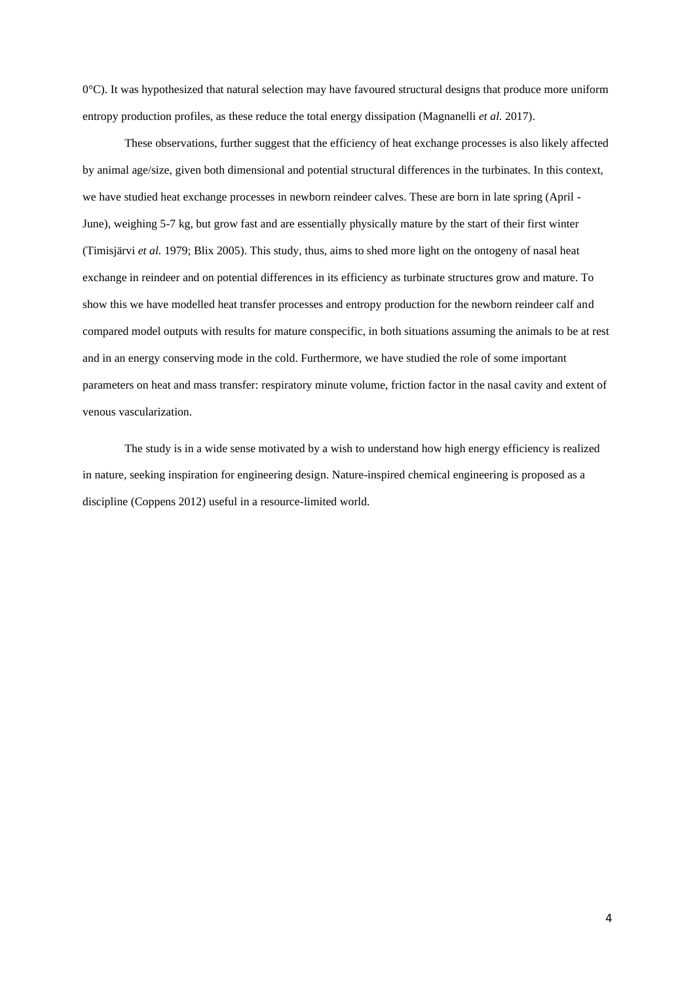0°C). It was hypothesized that natural selection may have favoured structural designs that produce more uniform entropy production profiles, as these reduce the total energy dissipation (Magnanelli *et al.* 2017).

These observations, further suggest that the efficiency of heat exchange processes is also likely affected by animal age/size, given both dimensional and potential structural differences in the turbinates. In this context, we have studied heat exchange processes in newborn reindeer calves. These are born in late spring (April -June), weighing 5-7 kg, but grow fast and are essentially physically mature by the start of their first winter (Timisjärvi *et al.* 1979; Blix 2005). This study, thus, aims to shed more light on the ontogeny of nasal heat exchange in reindeer and on potential differences in its efficiency as turbinate structures grow and mature. To show this we have modelled heat transfer processes and entropy production for the newborn reindeer calf and compared model outputs with results for mature conspecific, in both situations assuming the animals to be at rest and in an energy conserving mode in the cold. Furthermore, we have studied the role of some important parameters on heat and mass transfer: respiratory minute volume, friction factor in the nasal cavity and extent of venous vascularization.

The study is in a wide sense motivated by a wish to understand how high energy efficiency is realized in nature, seeking inspiration for engineering design. Nature-inspired chemical engineering is proposed as a discipline (Coppens 2012) useful in a resource-limited world.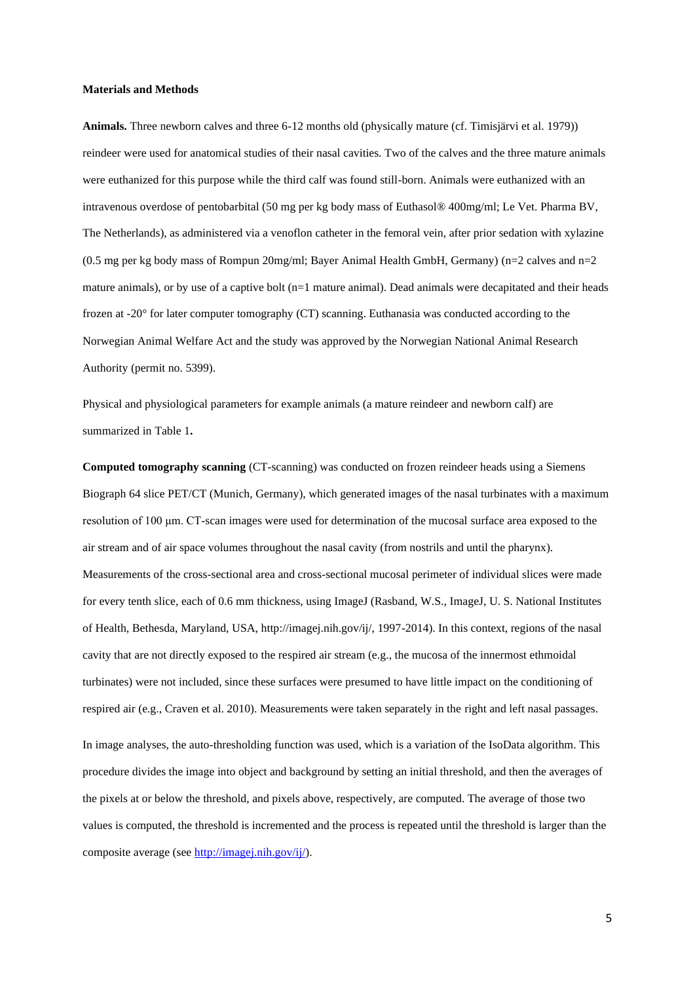#### **Materials and Methods**

**Animals.** Three newborn calves and three 6-12 months old (physically mature (cf. Timisjärvi et al. 1979)) reindeer were used for anatomical studies of their nasal cavities. Two of the calves and the three mature animals were euthanized for this purpose while the third calf was found still-born. Animals were euthanized with an intravenous overdose of pentobarbital (50 mg per kg body mass of Euthasol® 400mg/ml; Le Vet. Pharma BV, The Netherlands), as administered via a venoflon catheter in the femoral vein, after prior sedation with xylazine (0.5 mg per kg body mass of Rompun 20mg/ml; Bayer Animal Health GmbH, Germany) (n=2 calves and n=2 mature animals), or by use of a captive bolt (n=1 mature animal). Dead animals were decapitated and their heads frozen at -20° for later computer tomography (CT) scanning. Euthanasia was conducted according to the Norwegian Animal Welfare Act and the study was approved by the Norwegian National Animal Research Authority (permit no. 5399).

Physical and physiological parameters for example animals (a mature reindeer and newborn calf) are summarized in [Table 1](#page-19-0)**.**

**Computed tomography scanning** (CT-scanning) was conducted on frozen reindeer heads using a Siemens Biograph 64 slice PET/CT (Munich, Germany), which generated images of the nasal turbinates with a maximum resolution of 100 μm. CT-scan images were used for determination of the mucosal surface area exposed to the air stream and of air space volumes throughout the nasal cavity (from nostrils and until the pharynx). Measurements of the cross-sectional area and cross-sectional mucosal perimeter of individual slices were made for every tenth slice, each of 0.6 mm thickness, using ImageJ (Rasband, W.S., ImageJ, U. S. National Institutes of Health, Bethesda, Maryland, USA, http://imagej.nih.gov/ij/, 1997-2014). In this context, regions of the nasal cavity that are not directly exposed to the respired air stream (e.g., the mucosa of the innermost ethmoidal turbinates) were not included, since these surfaces were presumed to have little impact on the conditioning of respired air (e.g., Craven et al. 2010). Measurements were taken separately in the right and left nasal passages. In image analyses, the auto-thresholding function was used, which is a variation of the IsoData algorithm. This procedure divides the image into object and background by setting an initial threshold, and then the averages of the pixels at or below the threshold, and pixels above, respectively, are computed. The average of those two values is computed, the threshold is incremented and the process is repeated until the threshold is larger than the composite average (se[e http://imagej.nih.gov/ij/\)](http://imagej.nih.gov/ij/).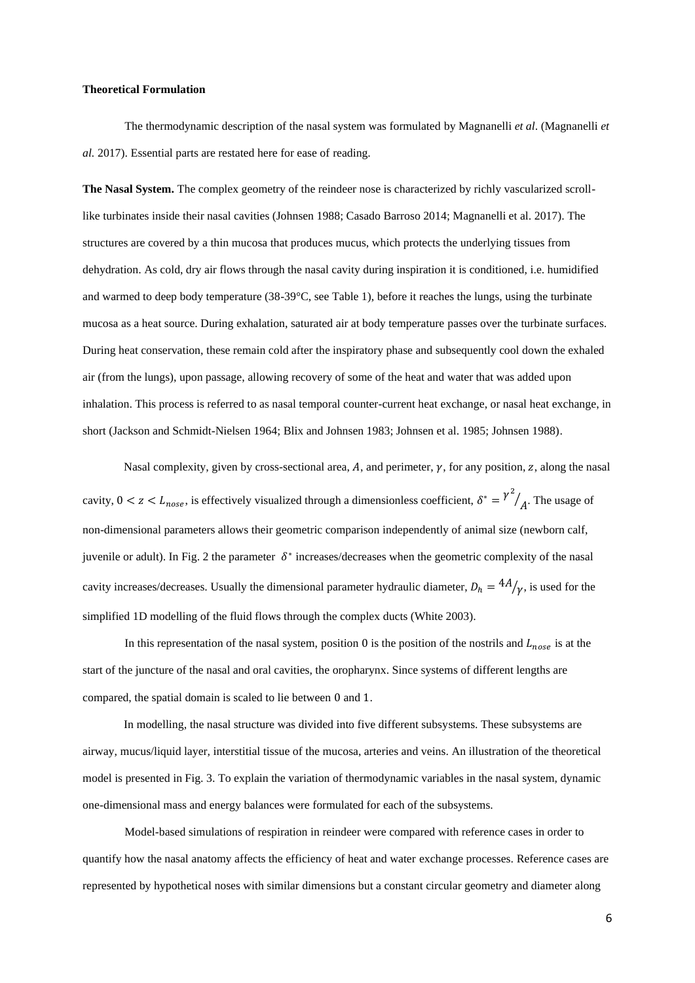## **Theoretical Formulation**

The thermodynamic description of the nasal system was formulated by Magnanelli *et al*. (Magnanelli *et al.* 2017). Essential parts are restated here for ease of reading.

**The Nasal System.** The complex geometry of the reindeer nose is characterized by richly vascularized scrolllike turbinates inside their nasal cavities (Johnsen 1988; Casado Barroso 2014; Magnanelli et al. 2017). The structures are covered by a thin mucosa that produces mucus, which protects the underlying tissues from dehydration. As cold, dry air flows through the nasal cavity during inspiration it is conditioned, i.e. humidified and warmed to deep body temperature (38-39°C, see [Table 1\)](#page-19-0), before it reaches the lungs, using the turbinate mucosa as a heat source. During exhalation, saturated air at body temperature passes over the turbinate surfaces. During heat conservation, these remain cold after the inspiratory phase and subsequently cool down the exhaled air (from the lungs), upon passage, allowing recovery of some of the heat and water that was added upon inhalation. This process is referred to as nasal temporal counter-current heat exchange, or nasal heat exchange, in short (Jackson and Schmidt-Nielsen 1964; Blix and Johnsen 1983; Johnsen et al. 1985; Johnsen 1988).

Nasal complexity, given by cross-sectional area,  $A$ , and perimeter,  $\gamma$ , for any position,  $z$ , along the nasal cavity,  $0 < z < L_{nose}$ , is effectively visualized through a dimensionless coefficient,  $\delta^* = \gamma^2$  $\big/_{A}$ . The usage of non-dimensional parameters allows their geometric comparison independently of animal size (newborn calf, juvenile or adult). In Fig. 2 the parameter  $\delta^*$  increases/decreases when the geometric complexity of the nasal cavity increases/decreases. Usually the dimensional parameter hydraulic diameter,  $D_h = \frac{4A}{v}$ , is used for the simplified 1D modelling of the fluid flows through the complex ducts (White 2003).

In this representation of the nasal system, position 0 is the position of the nostrils and  $L_{nose}$  is at the start of the juncture of the nasal and oral cavities, the oropharynx. Since systems of different lengths are compared, the spatial domain is scaled to lie between 0 and 1.

In modelling, the nasal structure was divided into five different subsystems. These subsystems are airway, mucus/liquid layer, interstitial tissue of the mucosa, arteries and veins. An illustration of the theoretical model is presented in Fig. 3. To explain the variation of thermodynamic variables in the nasal system, dynamic one-dimensional mass and energy balances were formulated for each of the subsystems.

Model-based simulations of respiration in reindeer were compared with reference cases in order to quantify how the nasal anatomy affects the efficiency of heat and water exchange processes. Reference cases are represented by hypothetical noses with similar dimensions but a constant circular geometry and diameter along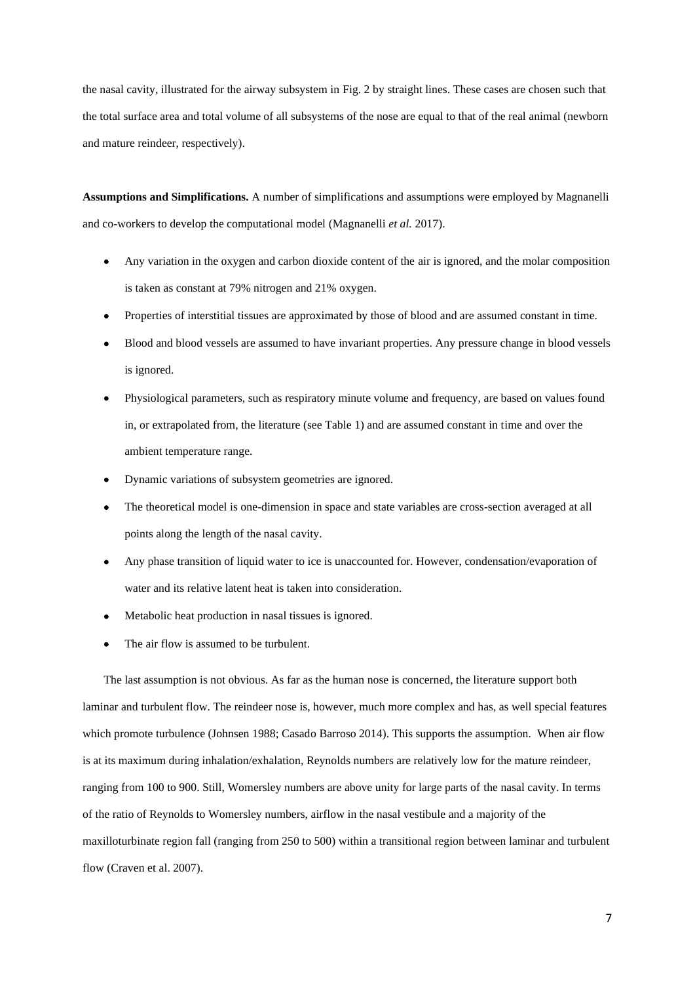the nasal cavity, illustrated for the airway subsystem in [Fig.](#page-23-0) 2 by straight lines. These cases are chosen such that the total surface area and total volume of all subsystems of the nose are equal to that of the real animal (newborn and mature reindeer, respectively).

**Assumptions and Simplifications.** A number of simplifications and assumptions were employed by Magnanelli and co-workers to develop the computational model (Magnanelli *et al.* 2017).

- Any variation in the oxygen and carbon dioxide content of the air is ignored, and the molar composition is taken as constant at 79% nitrogen and 21% oxygen.
- Properties of interstitial tissues are approximated by those of blood and are assumed constant in time.
- Blood and blood vessels are assumed to have invariant properties. Any pressure change in blood vessels is ignored.
- Physiological parameters, such as respiratory minute volume and frequency, are based on values found in, or extrapolated from, the literature (see Table 1) and are assumed constant in time and over the ambient temperature range.
- Dynamic variations of subsystem geometries are ignored.
- The theoretical model is one-dimension in space and state variables are cross-section averaged at all points along the length of the nasal cavity.
- Any phase transition of liquid water to ice is unaccounted for. However, condensation/evaporation of water and its relative latent heat is taken into consideration.
- Metabolic heat production in nasal tissues is ignored.
- The air flow is assumed to be turbulent.

The last assumption is not obvious. As far as the human nose is concerned, the literature support both laminar and turbulent flow. The reindeer nose is, however, much more complex and has, as well special features which promote turbulence (Johnsen 1988; Casado Barroso 2014). This supports the assumption. When air flow is at its maximum during inhalation/exhalation, Reynolds numbers are relatively low for the mature reindeer, ranging from 100 to 900. Still, Womersley numbers are above unity for large parts of the nasal cavity. In terms of the ratio of Reynolds to Womersley numbers, airflow in the nasal vestibule and a majority of the maxilloturbinate region fall (ranging from 250 to 500) within a transitional region between laminar and turbulent flow (Craven et al. 2007).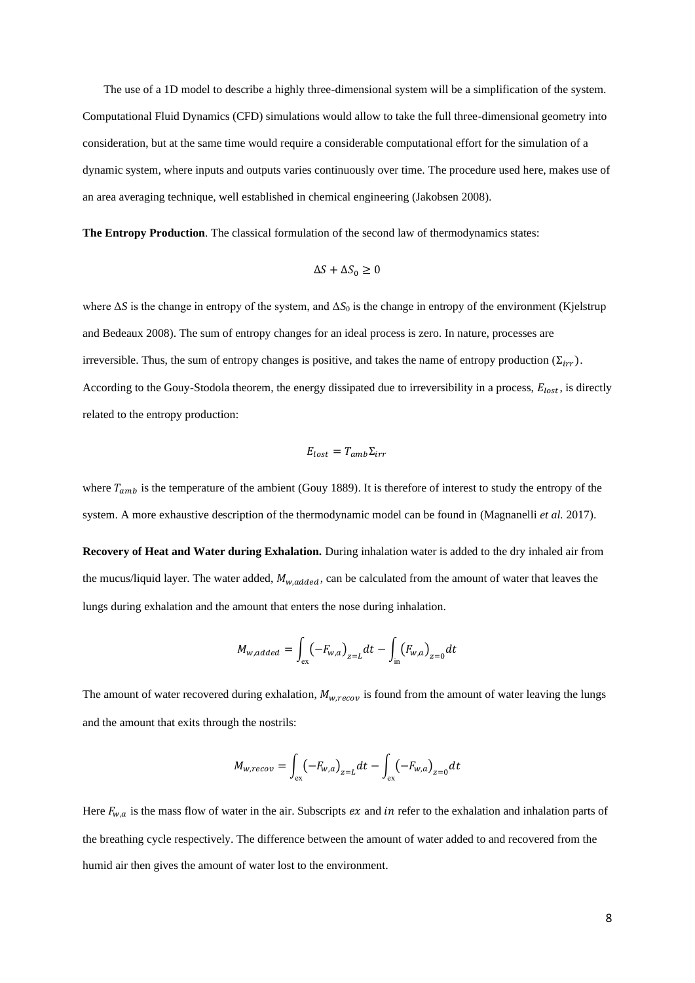The use of a 1D model to describe a highly three-dimensional system will be a simplification of the system. Computational Fluid Dynamics (CFD) simulations would allow to take the full three-dimensional geometry into consideration, but at the same time would require a considerable computational effort for the simulation of a dynamic system, where inputs and outputs varies continuously over time. The procedure used here, makes use of an area averaging technique, well established in chemical engineering (Jakobsen 2008).

**The Entropy Production**. The classical formulation of the second law of thermodynamics states:

$$
\Delta S + \Delta S_0 \ge 0
$$

where Δ*S* is the change in entropy of the system, and Δ*S*<sup>0</sup> is the change in entropy of the environment (Kjelstrup and Bedeaux 2008). The sum of entropy changes for an ideal process is zero. In nature, processes are irreversible. Thus, the sum of entropy changes is positive, and takes the name of entropy production ( $\Sigma_{irr}$ ). According to the Gouy-Stodola theorem, the energy dissipated due to irreversibility in a process,  $E_{lost}$ , is directly related to the entropy production:

$$
E_{lost} = T_{amb} \Sigma_{irr}
$$

where  $T_{amb}$  is the temperature of the ambient (Gouy 1889). It is therefore of interest to study the entropy of the system. A more exhaustive description of the thermodynamic model can be found in (Magnanelli *et al.* 2017).

**Recovery of Heat and Water during Exhalation.** During inhalation water is added to the dry inhaled air from the mucus/liquid layer. The water added,  $M_{w, added}$ , can be calculated from the amount of water that leaves the lungs during exhalation and the amount that enters the nose during inhalation.

$$
M_{w, added} = \int_{\text{ex}} (-F_{w,a})_{z=L} dt - \int_{\text{in}} (F_{w,a})_{z=0} dt
$$

The amount of water recovered during exhalation,  $M_{w,recov}$  is found from the amount of water leaving the lungs and the amount that exits through the nostrils:

$$
M_{w,recov} = \int_{\text{ex}} (-F_{w,a})_{z=L} dt - \int_{\text{ex}} (-F_{w,a})_{z=0} dt
$$

Here  $F_{w,a}$  is the mass flow of water in the air. Subscripts *ex* and *in* refer to the exhalation and inhalation parts of the breathing cycle respectively. The difference between the amount of water added to and recovered from the humid air then gives the amount of water lost to the environment.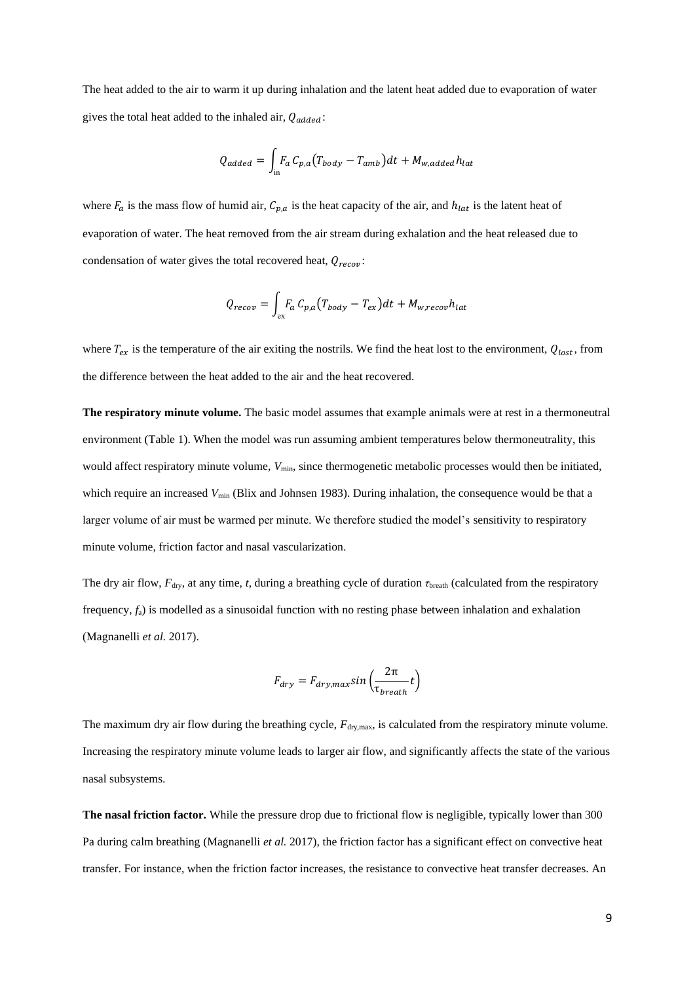The heat added to the air to warm it up during inhalation and the latent heat added due to evaporation of water gives the total heat added to the inhaled air,  $Q_{added}$ :

$$
Q_{added} = \int_{\text{in}} F_a C_{p,a} (T_{body} - T_{amb}) dt + M_{w,added} h_{lat}
$$

where  $F_a$  is the mass flow of humid air,  $C_{p,a}$  is the heat capacity of the air, and  $h_{lat}$  is the latent heat of evaporation of water. The heat removed from the air stream during exhalation and the heat released due to condensation of water gives the total recovered heat,  $Q_{recov}$ :

$$
Q_{recov} = \int_{\text{ex}} F_a C_{p,a} (T_{body} - T_{ex}) dt + M_{w,recov} h_{lat}
$$

where  $T_{ex}$  is the temperature of the air exiting the nostrils. We find the heat lost to the environment,  $Q_{lost}$ , from the difference between the heat added to the air and the heat recovered.

**The respiratory minute volume.** The basic model assumes that example animals were at rest in a thermoneutral environment (Table 1). When the model was run assuming ambient temperatures below thermoneutrality, this would affect respiratory minute volume,  $V_{\text{min}}$ , since thermogenetic metabolic processes would then be initiated, which require an increased *V*<sub>min</sub> (Blix and Johnsen 1983). During inhalation, the consequence would be that a larger volume of air must be warmed per minute. We therefore studied the model's sensitivity to respiratory minute volume, friction factor and nasal vascularization.

The dry air flow, *F*dry, at any time, *t*, during a breathing cycle of duration *τ*breath (calculated from the respiratory frequency, *f*a) is modelled as a sinusoidal function with no resting phase between inhalation and exhalation (Magnanelli *et al.* 2017).

$$
F_{dry} = F_{dry,max} sin\left(\frac{2\pi}{\tau_{breath}} t\right)
$$

The maximum dry air flow during the breathing cycle,  $F_{\text{dry,max}}$ , is calculated from the respiratory minute volume. Increasing the respiratory minute volume leads to larger air flow, and significantly affects the state of the various nasal subsystems.

**The nasal friction factor.** While the pressure drop due to frictional flow is negligible, typically lower than 300 Pa during calm breathing (Magnanelli *et al.* 2017), the friction factor has a significant effect on convective heat transfer. For instance, when the friction factor increases, the resistance to convective heat transfer decreases. An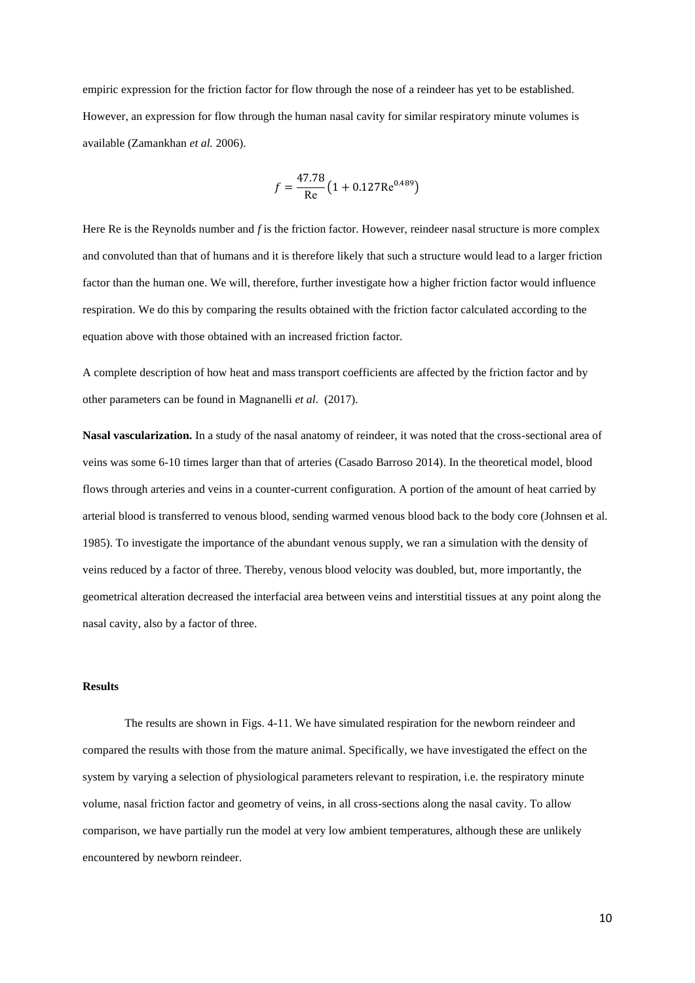empiric expression for the friction factor for flow through the nose of a reindeer has yet to be established. However, an expression for flow through the human nasal cavity for similar respiratory minute volumes is available (Zamankhan *et al.* 2006).

$$
f = \frac{47.78}{\text{Re}} \left( 1 + 0.127 \text{Re}^{0.489} \right)
$$

Here Re is the Reynolds number and *f* is the friction factor. However, reindeer nasal structure is more complex and convoluted than that of humans and it is therefore likely that such a structure would lead to a larger friction factor than the human one. We will, therefore, further investigate how a higher friction factor would influence respiration. We do this by comparing the results obtained with the friction factor calculated according to the equation above with those obtained with an increased friction factor.

A complete description of how heat and mass transport coefficients are affected by the friction factor and by other parameters can be found in Magnanelli *et al*. (2017).

**Nasal vascularization.** In a study of the nasal anatomy of reindeer, it was noted that the cross-sectional area of veins was some 6-10 times larger than that of arteries (Casado Barroso 2014). In the theoretical model, blood flows through arteries and veins in a counter-current configuration. A portion of the amount of heat carried by arterial blood is transferred to venous blood, sending warmed venous blood back to the body core (Johnsen et al. 1985). To investigate the importance of the abundant venous supply, we ran a simulation with the density of veins reduced by a factor of three. Thereby, venous blood velocity was doubled, but, more importantly, the geometrical alteration decreased the interfacial area between veins and interstitial tissues at any point along the nasal cavity, also by a factor of three.

## **Results**

The results are shown in Figs. 4-11. We have simulated respiration for the newborn reindeer and compared the results with those from the mature animal. Specifically, we have investigated the effect on the system by varying a selection of physiological parameters relevant to respiration, i.e. the respiratory minute volume, nasal friction factor and geometry of veins, in all cross-sections along the nasal cavity. To allow comparison, we have partially run the model at very low ambient temperatures, although these are unlikely encountered by newborn reindeer.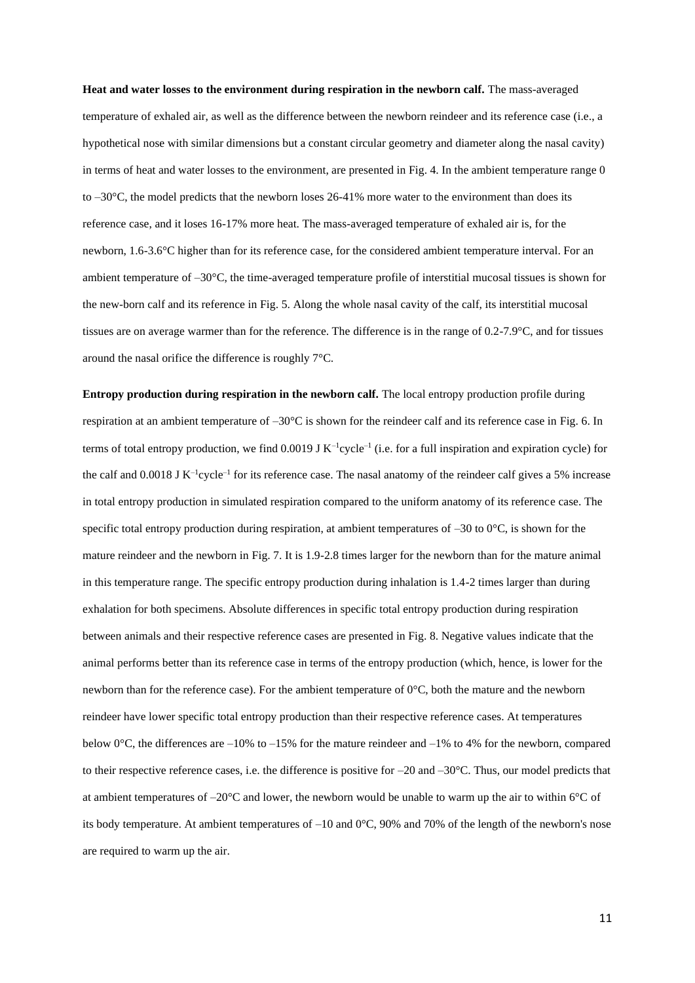Heat and water losses to the environment during respiration in the newborn calf. The mass-averaged temperature of exhaled air, as well as the difference between the newborn reindeer and its reference case (i.e., a hypothetical nose with similar dimensions but a constant circular geometry and diameter along the nasal cavity) in terms of heat and water losses to the environment, are presented in Fig. 4. In the ambient temperature range 0 to  $-30^{\circ}$ C, the model predicts that the newborn loses 26-41% more water to the environment than does its reference case, and it loses 16-17% more heat. The mass-averaged temperature of exhaled air is, for the newborn, 1.6-3.6°C higher than for its reference case, for the considered ambient temperature interval. For an ambient temperature of  $-30^{\circ}$ C, the time-averaged temperature profile of interstitial mucosal tissues is shown for the new-born calf and its reference i[n Fig.](#page-26-0) 5. Along the whole nasal cavity of the calf, its interstitial mucosal tissues are on average warmer than for the reference. The difference is in the range of 0.2-7.9°C, and for tissues around the nasal orifice the difference is roughly 7°C.

**Entropy production during respiration in the newborn calf.** The local entropy production profile during respiration at an ambient temperature of –30°C is shown for the reindeer calf and its reference case in [Fig.](#page-27-0) 6. In terms of total entropy production, we find  $0.0019 \text{ J K}^{-1}$ cycle<sup>-1</sup> (i.e. for a full inspiration and expiration cycle) for the calf and  $0.0018$  J K<sup>-1</sup>cycle<sup>-1</sup> for its reference case. The nasal anatomy of the reindeer calf gives a 5% increase in total entropy production in simulated respiration compared to the uniform anatomy of its reference case. The specific total entropy production during respiration, at ambient temperatures of  $-30$  to  $0^{\circ}$ C, is shown for the mature reindeer and the newborn in [Fig.](#page-28-0) 7. It is 1.9-2.8 times larger for the newborn than for the mature animal in this temperature range. The specific entropy production during inhalation is 1.4-2 times larger than during exhalation for both specimens. Absolute differences in specific total entropy production during respiration between animals and their respective reference cases are presented in Fig. 8. Negative values indicate that the animal performs better than its reference case in terms of the entropy production (which, hence, is lower for the newborn than for the reference case). For the ambient temperature of 0°C, both the mature and the newborn reindeer have lower specific total entropy production than their respective reference cases. At temperatures below 0 $^{\circ}$ C, the differences are –10% to –15% for the mature reindeer and –1% to 4% for the newborn, compared to their respective reference cases, i.e. the difference is positive for  $-20$  and  $-30^{\circ}$ C. Thus, our model predicts that at ambient temperatures of  $-20^{\circ}$ C and lower, the newborn would be unable to warm up the air to within 6 $^{\circ}$ C of its body temperature. At ambient temperatures of –10 and 0°C, 90% and 70% of the length of the newborn's nose are required to warm up the air.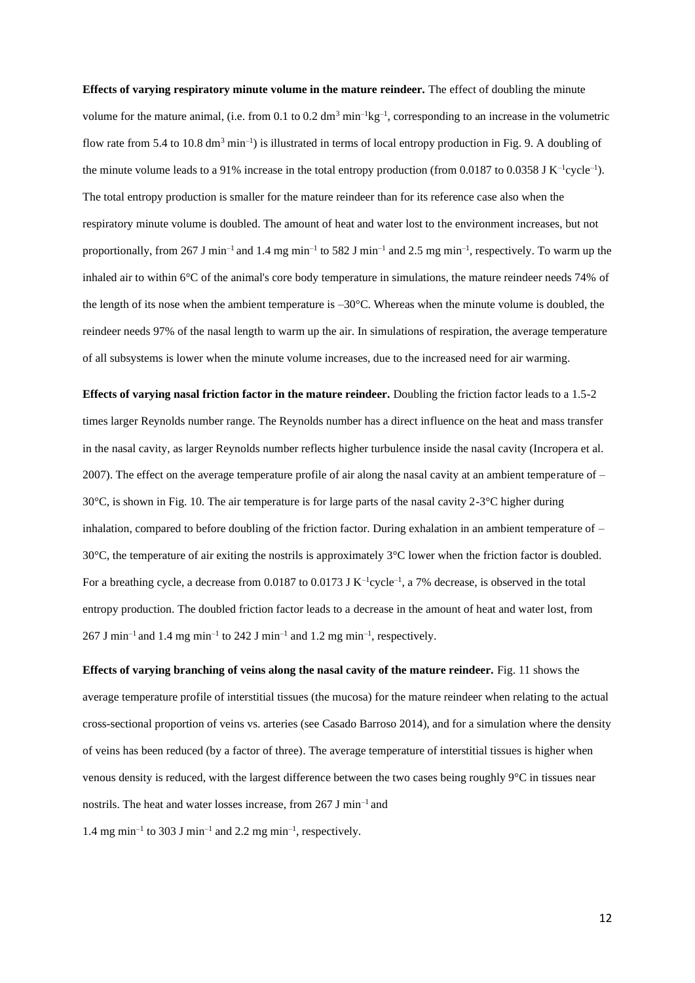**Effects of varying respiratory minute volume in the mature reindeer.** The effect of doubling the minute volume for the mature animal, (i.e. from 0.1 to 0.2  $dm<sup>3</sup> min<sup>-1</sup>kg<sup>-1</sup>$ , corresponding to an increase in the volumetric flow rate from 5.4 to 10.8  $dm^3$  min<sup>-1</sup>) is illustrated in terms of local entropy production in Fig. 9. A doubling of the minute volume leads to a 91% increase in the total entropy production (from  $0.0187$  to  $0.0358$  J K<sup>-1</sup>cycle<sup>-1</sup>). The total entropy production is smaller for the mature reindeer than for its reference case also when the respiratory minute volume is doubled. The amount of heat and water lost to the environment increases, but not proportionally, from 267 J min<sup>-1</sup> and 1.4 mg min<sup>-1</sup> to 582 J min<sup>-1</sup> and 2.5 mg min<sup>-1</sup>, respectively. To warm up the inhaled air to within 6°C of the animal's core body temperature in simulations, the mature reindeer needs 74% of the length of its nose when the ambient temperature is  $-30^{\circ}$ C. Whereas when the minute volume is doubled, the reindeer needs 97% of the nasal length to warm up the air. In simulations of respiration, the average temperature of all subsystems is lower when the minute volume increases, due to the increased need for air warming.

**Effects of varying nasal friction factor in the mature reindeer.** Doubling the friction factor leads to a 1.5-2 times larger Reynolds number range. The Reynolds number has a direct influence on the heat and mass transfer in the nasal cavity, as larger Reynolds number reflects higher turbulence inside the nasal cavity (Incropera et al. 2007). The effect on the average temperature profile of air along the nasal cavity at an ambient temperature of – 30°C, is shown in Fig. 10. The air temperature is for large parts of the nasal cavity 2-3°C higher during inhalation, compared to before doubling of the friction factor. During exhalation in an ambient temperature of – 30°C, the temperature of air exiting the nostrils is approximately 3°C lower when the friction factor is doubled. For a breathing cycle, a decrease from 0.0187 to 0.0173 J  $K^{-1}$ cycle<sup>-1</sup>, a 7% decrease, is observed in the total entropy production. The doubled friction factor leads to a decrease in the amount of heat and water lost, from  $267$  J min<sup>-1</sup> and 1.4 mg min<sup>-1</sup> to 242 J min<sup>-1</sup> and 1.2 mg min<sup>-1</sup>, respectively.

**Effects of varying branching of veins along the nasal cavity of the mature reindeer.** Fig. 11 shows the average temperature profile of interstitial tissues (the mucosa) for the mature reindeer when relating to the actual cross-sectional proportion of veins vs. arteries (see Casado Barroso 2014), and for a simulation where the density of veins has been reduced (by a factor of three). The average temperature of interstitial tissues is higher when venous density is reduced, with the largest difference between the two cases being roughly 9°C in tissues near nostrils. The heat and water losses increase, from 267 J min–1 and

1.4 mg min<sup>-1</sup> to 303 J min<sup>-1</sup> and 2.2 mg min<sup>-1</sup>, respectively.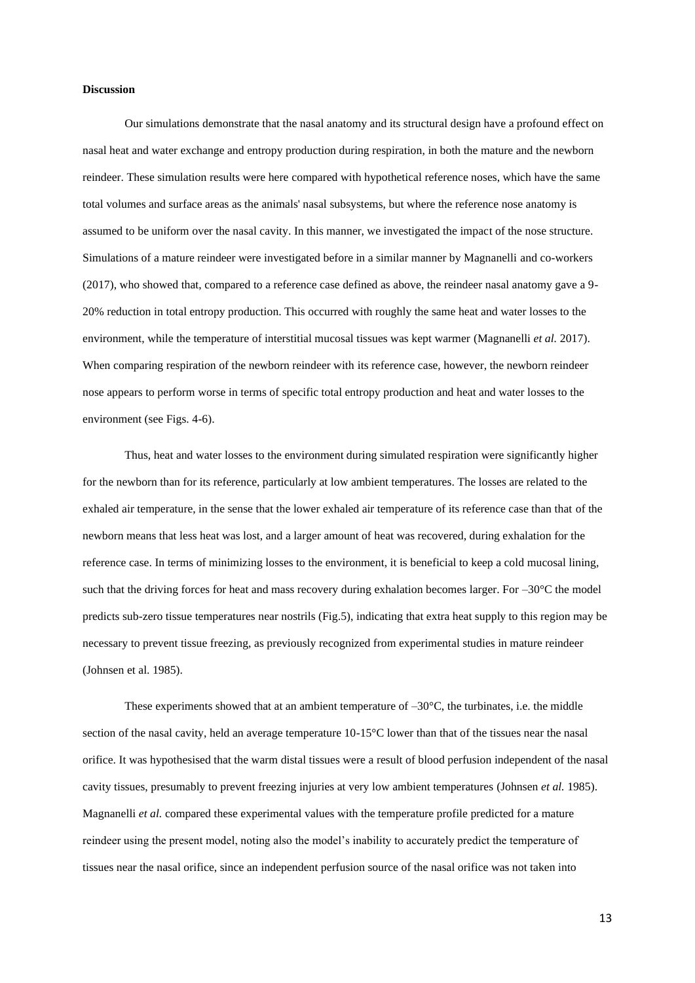## **Discussion**

Our simulations demonstrate that the nasal anatomy and its structural design have a profound effect on nasal heat and water exchange and entropy production during respiration, in both the mature and the newborn reindeer. These simulation results were here compared with hypothetical reference noses, which have the same total volumes and surface areas as the animals' nasal subsystems, but where the reference nose anatomy is assumed to be uniform over the nasal cavity. In this manner, we investigated the impact of the nose structure. Simulations of a mature reindeer were investigated before in a similar manner by Magnanelli and co-workers (2017), who showed that, compared to a reference case defined as above, the reindeer nasal anatomy gave a 9- 20% reduction in total entropy production. This occurred with roughly the same heat and water losses to the environment, while the temperature of interstitial mucosal tissues was kept warmer (Magnanelli *et al.* 2017). When comparing respiration of the newborn reindeer with its reference case, however, the newborn reindeer nose appears to perform worse in terms of specific total entropy production and heat and water losses to the environment (see Figs. 4-6).

Thus, heat and water losses to the environment during simulated respiration were significantly higher for the newborn than for its reference, particularly at low ambient temperatures. The losses are related to the exhaled air temperature, in the sense that the lower exhaled air temperature of its reference case than that of the newborn means that less heat was lost, and a larger amount of heat was recovered, during exhalation for the reference case. In terms of minimizing losses to the environment, it is beneficial to keep a cold mucosal lining, such that the driving forces for heat and mass recovery during exhalation becomes larger. For  $-30^{\circ}$ C the model predicts sub-zero tissue temperatures near nostrils (Fig.5), indicating that extra heat supply to this region may be necessary to prevent tissue freezing, as previously recognized from experimental studies in mature reindeer (Johnsen et al. 1985).

These experiments showed that at an ambient temperature of  $-30^{\circ}$ C, the turbinates, i.e. the middle section of the nasal cavity, held an average temperature 10-15°C lower than that of the tissues near the nasal orifice. It was hypothesised that the warm distal tissues were a result of blood perfusion independent of the nasal cavity tissues, presumably to prevent freezing injuries at very low ambient temperatures (Johnsen *et al.* 1985). Magnanelli *et al.* compared these experimental values with the temperature profile predicted for a mature reindeer using the present model, noting also the model's inability to accurately predict the temperature of tissues near the nasal orifice, since an independent perfusion source of the nasal orifice was not taken into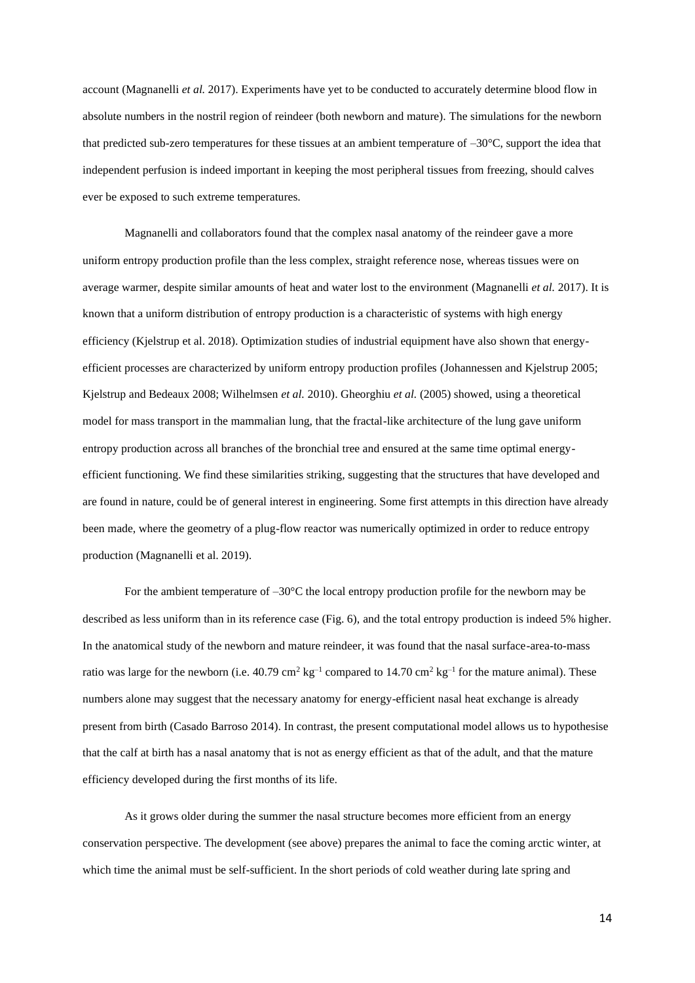account (Magnanelli *et al.* 2017). Experiments have yet to be conducted to accurately determine blood flow in absolute numbers in the nostril region of reindeer (both newborn and mature). The simulations for the newborn that predicted sub-zero temperatures for these tissues at an ambient temperature of  $-30^{\circ}$ C, support the idea that independent perfusion is indeed important in keeping the most peripheral tissues from freezing, should calves ever be exposed to such extreme temperatures.

Magnanelli and collaborators found that the complex nasal anatomy of the reindeer gave a more uniform entropy production profile than the less complex, straight reference nose, whereas tissues were on average warmer, despite similar amounts of heat and water lost to the environment (Magnanelli *et al.* 2017). It is known that a uniform distribution of entropy production is a characteristic of systems with high energy efficiency (Kjelstrup et al. 2018). Optimization studies of industrial equipment have also shown that energyefficient processes are characterized by uniform entropy production profiles (Johannessen and Kjelstrup 2005; Kjelstrup and Bedeaux 2008; Wilhelmsen *et al.* 2010). Gheorghiu *et al.* (2005) showed, using a theoretical model for mass transport in the mammalian lung, that the fractal-like architecture of the lung gave uniform entropy production across all branches of the bronchial tree and ensured at the same time optimal energyefficient functioning. We find these similarities striking, suggesting that the structures that have developed and are found in nature, could be of general interest in engineering. Some first attempts in this direction have already been made, where the geometry of a plug-flow reactor was numerically optimized in order to reduce entropy production (Magnanelli et al. 2019).

For the ambient temperature of  $-30^{\circ}$ C the local entropy production profile for the newborn may be described as less uniform than in its reference case (Fig. 6), and the total entropy production is indeed 5% higher. In the anatomical study of the newborn and mature reindeer, it was found that the nasal surface-area-to-mass ratio was large for the newborn (i.e.  $40.79 \text{ cm}^2 \text{ kg}^{-1}$  compared to  $14.70 \text{ cm}^2 \text{ kg}^{-1}$  for the mature animal). These numbers alone may suggest that the necessary anatomy for energy-efficient nasal heat exchange is already present from birth (Casado Barroso 2014). In contrast, the present computational model allows us to hypothesise that the calf at birth has a nasal anatomy that is not as energy efficient as that of the adult, and that the mature efficiency developed during the first months of its life.

As it grows older during the summer the nasal structure becomes more efficient from an energy conservation perspective. The development (see above) prepares the animal to face the coming arctic winter, at which time the animal must be self-sufficient. In the short periods of cold weather during late spring and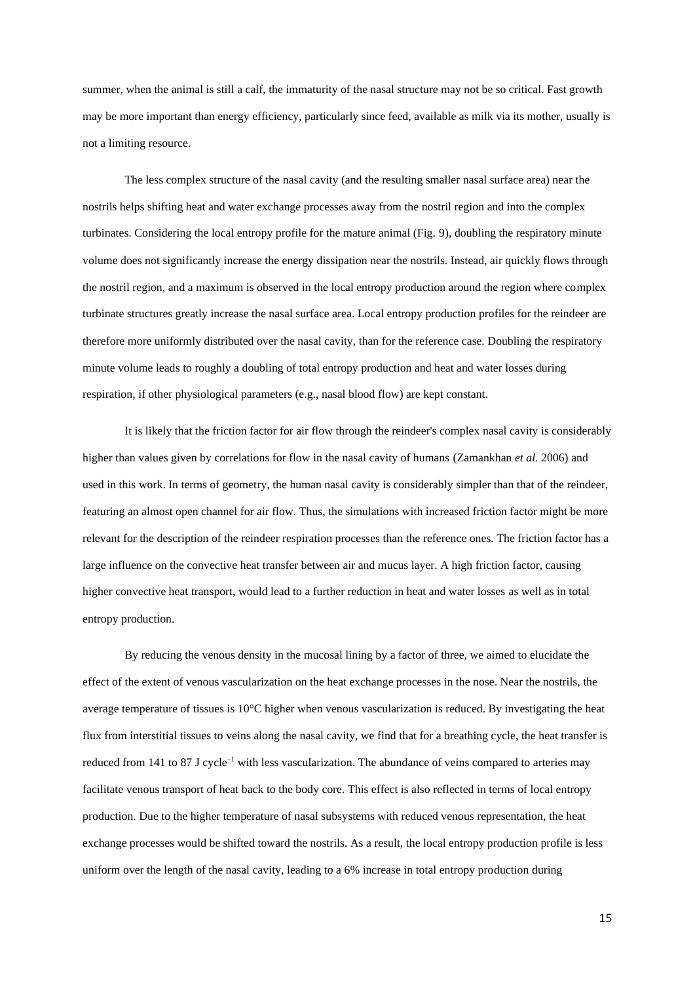summer, when the animal is still a calf, the immaturity of the nasal structure may not be so critical. Fast growth may be more important than energy efficiency, particularly since feed, available as milk via its mother, usually is not a limiting resource.

The less complex structure of the nasal cavity (and the resulting smaller nasal surface area) near the nostrils helps shifting heat and water exchange processes away from the nostril region and into the complex turbinates. Considering the local entropy profile for the mature animal (Fig. 9), doubling the respiratory minute volume does not significantly increase the energy dissipation near the nostrils. Instead, air quickly flows through the nostril region, and a maximum is observed in the local entropy production around the region where complex turbinate structures greatly increase the nasal surface area. Local entropy production profiles for the reindeer are therefore more uniformly distributed over the nasal cavity, than for the reference case. Doubling the respiratory minute volume leads to roughly a doubling of total entropy production and heat and water losses during respiration, if other physiological parameters (e.g., nasal blood flow) are kept constant.

It is likely that the friction factor for air flow through the reindeer's complex nasal cavity is considerably higher than values given by correlations for flow in the nasal cavity of humans (Zamankhan *et al.* 2006) and used in this work. In terms of geometry, the human nasal cavity is considerably simpler than that of the reindeer, featuring an almost open channel for air flow. Thus, the simulations with increased friction factor might be more relevant for the description of the reindeer respiration processes than the reference ones. The friction factor has a large influence on the convective heat transfer between air and mucus layer. A high friction factor, causing higher convective heat transport, would lead to a further reduction in heat and water losses as well as in total entropy production.

By reducing the venous density in the mucosal lining by a factor of three, we aimed to elucidate the effect of the extent of venous vascularization on the heat exchange processes in the nose. Near the nostrils, the average temperature of tissues is  $10^{\circ}$ C higher when venous vascularization is reduced. By investigating the heat flux from interstitial tissues to veins along the nasal cavity, we find that for a breathing cycle, the heat transfer is reduced from 141 to 87 J cycle<sup>-1</sup> with less vascularization. The abundance of veins compared to arteries may facilitate venous transport of heat back to the body core. This effect is also reflected in terms of local entropy production. Due to the higher temperature of nasal subsystems with reduced venous representation, the heat exchange processes would be shifted toward the nostrils. As a result, the local entropy production profile is less uniform over the length of the nasal cavity, leading to a 6% increase in total entropy production during

15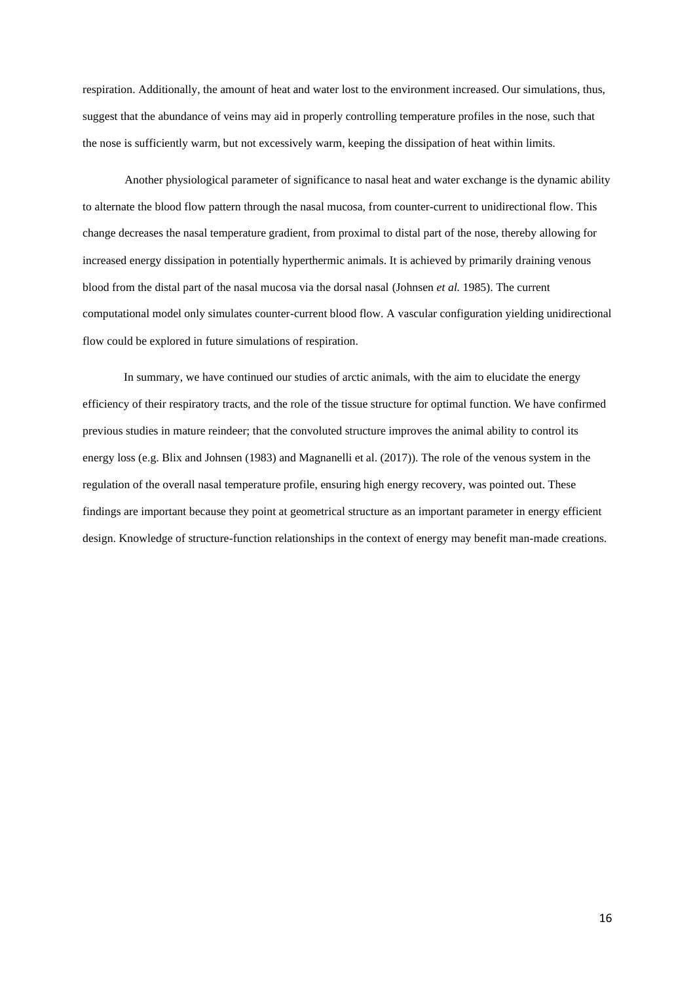respiration. Additionally, the amount of heat and water lost to the environment increased. Our simulations, thus, suggest that the abundance of veins may aid in properly controlling temperature profiles in the nose, such that the nose is sufficiently warm, but not excessively warm, keeping the dissipation of heat within limits.

Another physiological parameter of significance to nasal heat and water exchange is the dynamic ability to alternate the blood flow pattern through the nasal mucosa, from counter-current to unidirectional flow. This change decreases the nasal temperature gradient, from proximal to distal part of the nose, thereby allowing for increased energy dissipation in potentially hyperthermic animals. It is achieved by primarily draining venous blood from the distal part of the nasal mucosa via the dorsal nasal (Johnsen *et al.* 1985). The current computational model only simulates counter-current blood flow. A vascular configuration yielding unidirectional flow could be explored in future simulations of respiration.

In summary, we have continued our studies of arctic animals, with the aim to elucidate the energy efficiency of their respiratory tracts, and the role of the tissue structure for optimal function. We have confirmed previous studies in mature reindeer; that the convoluted structure improves the animal ability to control its energy loss (e.g. Blix and Johnsen (1983) and Magnanelli et al. (2017)). The role of the venous system in the regulation of the overall nasal temperature profile, ensuring high energy recovery, was pointed out. These findings are important because they point at geometrical structure as an important parameter in energy efficient design. Knowledge of structure-function relationships in the context of energy may benefit man-made creations.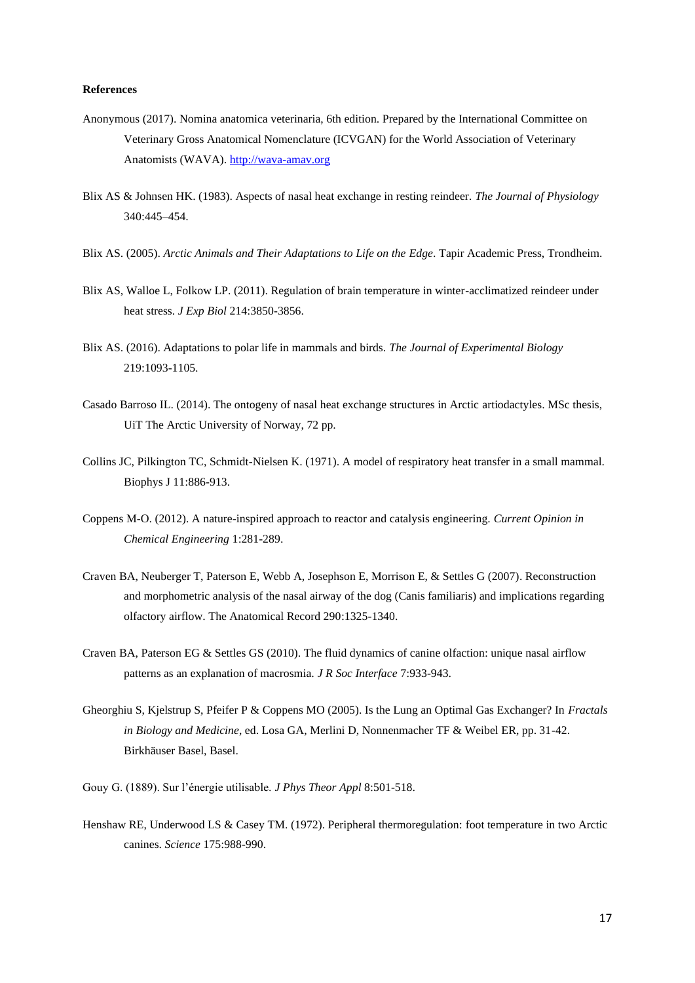## **References**

- Anonymous (2017). Nomina anatomica veterinaria, 6th edition. Prepared by the International Committee on Veterinary Gross Anatomical Nomenclature (ICVGAN) for the World Association of Veterinary Anatomists (WAVA). [http://wava-amav.org](http://wava-amav.org/)
- Blix AS & Johnsen HK. (1983). Aspects of nasal heat exchange in resting reindeer. *The Journal of Physiology* 340:445–454.
- Blix AS. (2005). *Arctic Animals and Their Adaptations to Life on the Edge*. Tapir Academic Press, Trondheim.
- Blix AS, Walloe L, Folkow LP. (2011). Regulation of brain temperature in winter-acclimatized reindeer under heat stress. *J Exp Biol* 214:3850-3856.
- Blix AS. (2016). Adaptations to polar life in mammals and birds. *The Journal of Experimental Biology* 219:1093-1105.
- Casado Barroso IL. (2014). The ontogeny of nasal heat exchange structures in Arctic artiodactyles. MSc thesis, UiT The Arctic University of Norway, 72 pp.
- Collins JC, Pilkington TC, Schmidt-Nielsen K. (1971). A model of respiratory heat transfer in a small mammal. Biophys J 11:886-913.
- Coppens M-O. (2012). A nature-inspired approach to reactor and catalysis engineering. *Current Opinion in Chemical Engineering* 1:281-289.
- Craven BA, Neuberger T, Paterson E, Webb A, Josephson E, Morrison E, & Settles G (2007). Reconstruction and morphometric analysis of the nasal airway of the dog (Canis familiaris) and implications regarding olfactory airflow. The Anatomical Record 290:1325-1340.
- Craven BA, Paterson EG & Settles GS (2010). The fluid dynamics of canine olfaction: unique nasal airflow patterns as an explanation of macrosmia. *J R Soc Interface* 7:933-943.
- Gheorghiu S, Kjelstrup S, Pfeifer P & Coppens MO (2005). Is the Lung an Optimal Gas Exchanger? In *Fractals in Biology and Medicine*, ed. Losa GA, Merlini D, Nonnenmacher TF & Weibel ER, pp. 31-42. Birkhäuser Basel, Basel.
- Gouy G. (1889). Sur l'énergie utilisable. *J Phys Theor Appl* 8:501-518.
- Henshaw RE, Underwood LS & Casey TM. (1972). Peripheral thermoregulation: foot temperature in two Arctic canines. *Science* 175:988-990.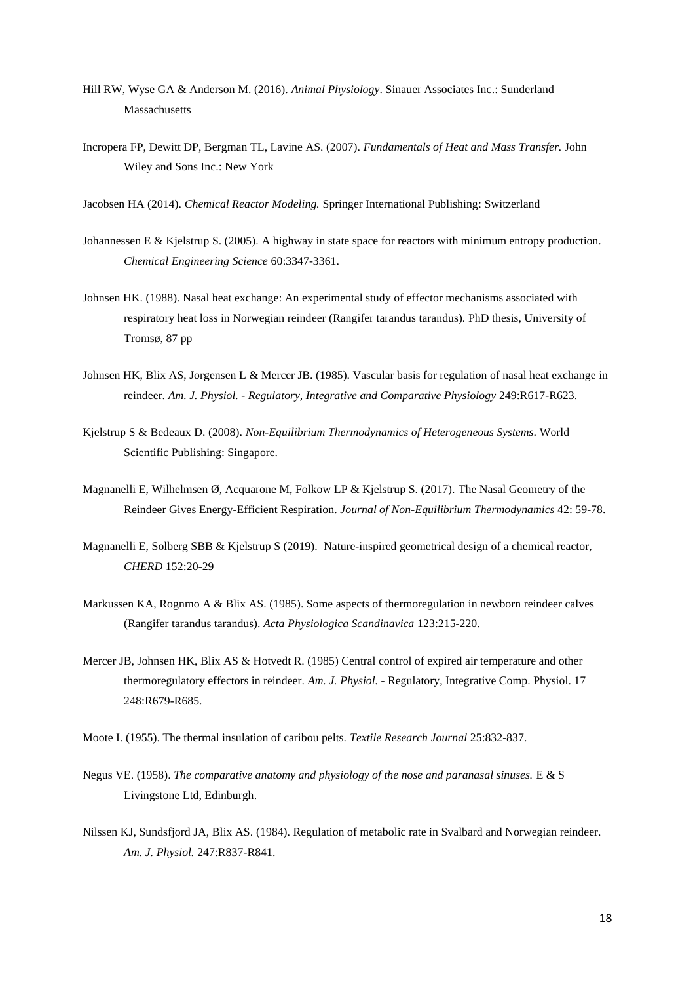- Hill RW, Wyse GA & Anderson M. (2016). *Animal Physiology*. Sinauer Associates Inc.: Sunderland Massachusetts
- Incropera FP, Dewitt DP, Bergman TL, Lavine AS. (2007). *Fundamentals of Heat and Mass Transfer.* John Wiley and Sons Inc.: New York
- Jacobsen HA (2014). *Chemical Reactor Modeling.* Springer International Publishing: Switzerland
- Johannessen E & Kjelstrup S. (2005). A highway in state space for reactors with minimum entropy production. *Chemical Engineering Science* 60:3347-3361.
- Johnsen HK. (1988). Nasal heat exchange: An experimental study of effector mechanisms associated with respiratory heat loss in Norwegian reindeer (Rangifer tarandus tarandus). PhD thesis, University of Tromsø, 87 pp
- Johnsen HK, Blix AS, Jorgensen L & Mercer JB. (1985). Vascular basis for regulation of nasal heat exchange in reindeer. *Am. J. Physiol. - Regulatory, Integrative and Comparative Physiology* 249:R617-R623.
- Kjelstrup S & Bedeaux D. (2008). *Non-Equilibrium Thermodynamics of Heterogeneous Systems*. World Scientific Publishing: Singapore.
- Magnanelli E, Wilhelmsen Ø, Acquarone M, Folkow LP & Kjelstrup S. (2017). The Nasal Geometry of the Reindeer Gives Energy-Efficient Respiration. *Journal of Non-Equilibrium Thermodynamics* 42: 59-78.
- Magnanelli E, Solberg SBB & Kjelstrup S (2019). Nature-inspired geometrical design of a chemical reactor, *CHERD* 152:20-29
- Markussen KA, Rognmo A & Blix AS. (1985). Some aspects of thermoregulation in newborn reindeer calves (Rangifer tarandus tarandus). *Acta Physiologica Scandinavica* 123:215-220.
- Mercer JB, Johnsen HK, Blix AS & Hotvedt R. (1985) Central control of expired air temperature and other thermoregulatory effectors in reindeer. *Am. J. Physiol.* - Regulatory, Integrative Comp. Physiol. 17 248:R679-R685.
- Moote I. (1955). The thermal insulation of caribou pelts. *Textile Research Journal* 25:832-837.
- Negus VE. (1958). *The comparative anatomy and physiology of the nose and paranasal sinuses.* E & S Livingstone Ltd, Edinburgh.
- Nilssen KJ, Sundsfjord JA, Blix AS. (1984). Regulation of metabolic rate in Svalbard and Norwegian reindeer. *Am. J. Physiol.* 247:R837-R841.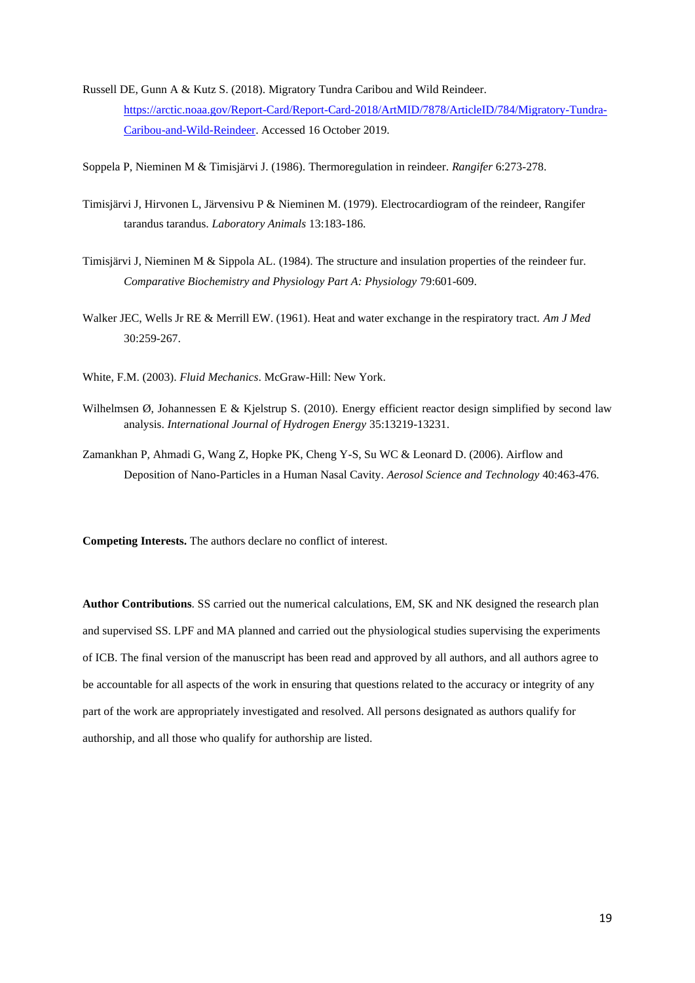Russell DE, Gunn A & Kutz S. (2018). Migratory Tundra Caribou and Wild Reindeer. [https://arctic.noaa.gov/Report-Card/Report-Card-2018/ArtMID/7878/ArticleID/784/Migratory-Tundra-](https://arctic.noaa.gov/Report-Card/Report-Card-2018/ArtMID/7878/ArticleID/784/Migratory-Tundra-Caribou-and-Wild-Reindeer)[Caribou-and-Wild-Reindeer.](https://arctic.noaa.gov/Report-Card/Report-Card-2018/ArtMID/7878/ArticleID/784/Migratory-Tundra-Caribou-and-Wild-Reindeer) Accessed 16 October 2019.

Soppela P, Nieminen M & Timisjärvi J. (1986). Thermoregulation in reindeer. *Rangifer* 6:273-278.

- Timisjärvi J, Hirvonen L, Järvensivu P & Nieminen M. (1979). Electrocardiogram of the reindeer, Rangifer tarandus tarandus. *Laboratory Animals* 13:183-186.
- Timisjärvi J, Nieminen M & Sippola AL. (1984). The structure and insulation properties of the reindeer fur. *Comparative Biochemistry and Physiology Part A: Physiology* 79:601-609.
- Walker JEC, Wells Jr RE & Merrill EW. (1961). Heat and water exchange in the respiratory tract. *Am J Med* 30:259-267.
- White, F.M. (2003). *Fluid Mechanics*. McGraw-Hill: New York.
- Wilhelmsen Ø, Johannessen E & Kjelstrup S. (2010). Energy efficient reactor design simplified by second law analysis. *International Journal of Hydrogen Energy* 35:13219-13231.
- Zamankhan P, Ahmadi G, Wang Z, Hopke PK, Cheng Y-S, Su WC & Leonard D. (2006). Airflow and Deposition of Nano-Particles in a Human Nasal Cavity. *Aerosol Science and Technology* 40:463-476.

**Competing Interests.** The authors declare no conflict of interest.

**Author Contributions**. SS carried out the numerical calculations, EM, SK and NK designed the research plan and supervised SS. LPF and MA planned and carried out the physiological studies supervising the experiments of ICB. The final version of the manuscript has been read and approved by all authors, and all authors agree to be accountable for all aspects of the work in ensuring that questions related to the accuracy or integrity of any part of the work are appropriately investigated and resolved. All persons designated as authors qualify for authorship, and all those who qualify for authorship are listed.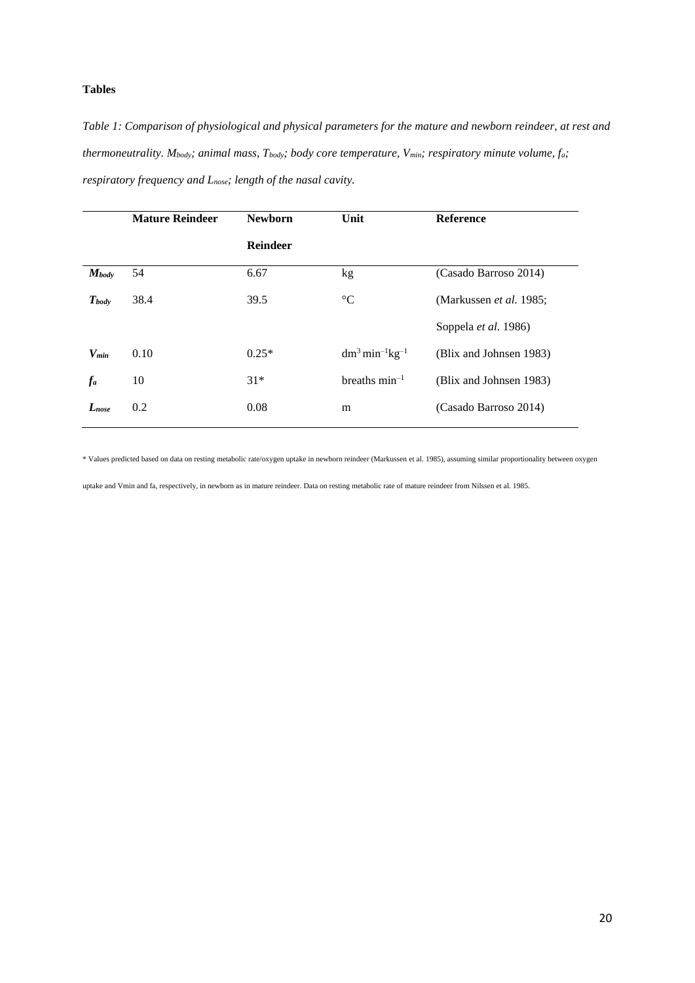# **Tables**

<span id="page-19-0"></span>*Table 1: Comparison of physiological and physical parameters for the mature and newborn reindeer, at rest and thermoneutrality. Mbody; animal mass, Tbody; body core temperature, Vmin; respiratory minute volume, fa; respiratory frequency and Lnose; length of the nasal cavity.*

|            | <b>Mature Reindeer</b> | <b>Newborn</b>  | Unit                                      | <b>Reference</b>               |
|------------|------------------------|-----------------|-------------------------------------------|--------------------------------|
|            |                        | <b>Reindeer</b> |                                           |                                |
| $M_{body}$ | 54                     | 6.67            | kg                                        | (Casado Barroso 2014)          |
| $T_{body}$ | 38.4                   | 39.5            | $\rm ^{\circ}C$                           | (Markussen <i>et al.</i> 1985; |
|            |                        |                 |                                           | Soppela et al. 1986)           |
| $V_{min}$  | 0.10                   | $0.25*$         | $dm^3$ min <sup>-1</sup> kg <sup>-1</sup> | (Blix and Johnsen 1983)        |
| $f_a$      | 10                     | $31*$           | breaths $min^{-1}$                        | (Blix and Johnsen 1983)        |
| $L_{nose}$ | 0.2                    | 0.08            | m                                         | (Casado Barroso 2014)          |

\* Values predicted based on data on resting metabolic rate/oxygen uptake in newborn reindeer (Markussen et al. 1985), assuming similar proportionality between oxygen

uptake and Vmin and fa, respectively, in newborn as in mature reindeer. Data on resting metabolic rate of mature reindeer from Nilssen et al. 1985.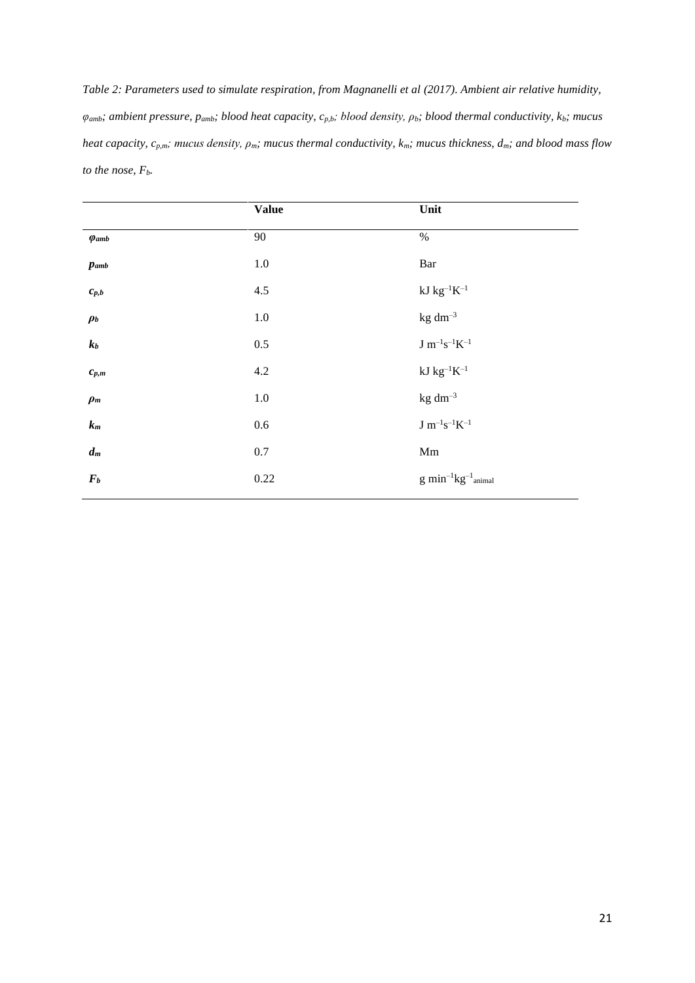*Table 2: Parameters used to simulate respiration, from Magnanelli et al (2017). Ambient air relative humidity, φamb; ambient pressure, pamb; blood heat capacity, cp,b; blood density, ρb; blood thermal conductivity, kb; mucus heat capacity, cp,m; mucus density, ρm; mucus thermal conductivity, km; mucus thickness, dm; and blood mass flow to the nose, Fb.*

|                          | <b>Value</b> | Unit                        |
|--------------------------|--------------|-----------------------------|
| $\varphi$ <sub>amb</sub> | 90           | $\%$                        |
| $p_{amb}$                | $1.0\,$      | Bar                         |
| $\boldsymbol{c}_{p,b}$   | 4.5          | $kJ$ $kg^{-1}K^{-1}$        |
| $\rho_b$                 | $1.0\,$      | $kg dm^{-3}$                |
| $k_b$                    | $0.5\,$      | $\rm J~m^{-1}s^{-1}K^{-1}$  |
| $\boldsymbol{c}_{p,m}$   | $4.2\,$      | $kJ$ $kg^{-1}K^{-1}$        |
| $\rho_m$                 | $1.0\,$      | $kg dm^{-3}$                |
| $\mathfrak{k}_m$         | $0.6\,$      | $\rm J~m^{-1}s^{-1}K^{-1}$  |
| $d_m$                    | $0.7\,$      | $\rm Mm$                    |
| $\bm{F}_{\bm{b}}$        | 0.22         | $g\ min^{-1}kg^{-1}$ animal |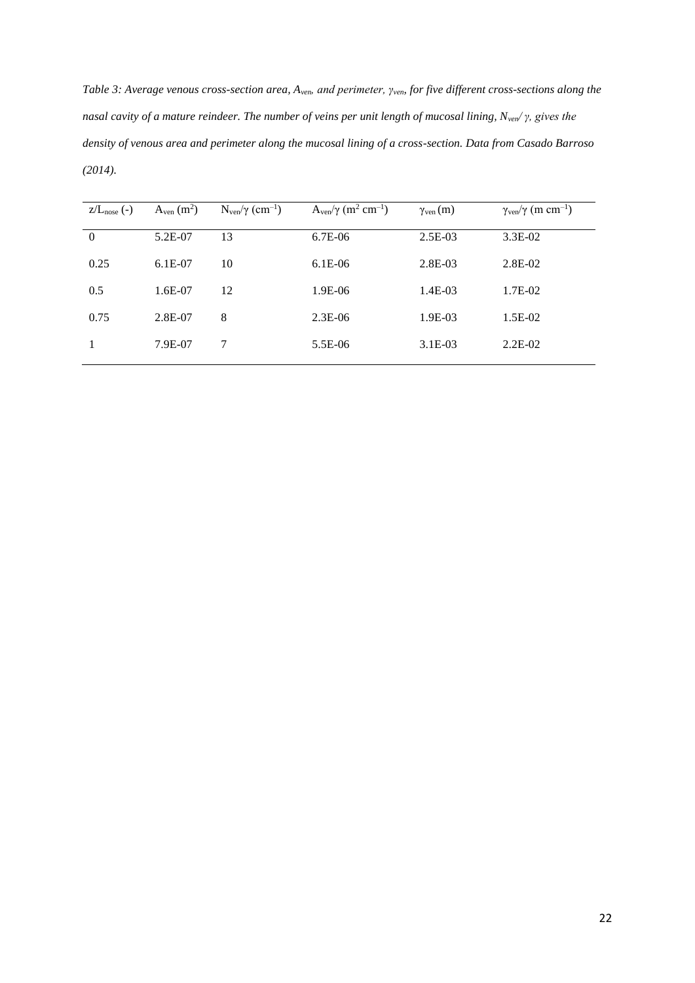*Table 3: Average venous cross-section area, Aven, and perimeter, γven, for five different cross-sections along the nasal cavity of a mature reindeer. The number of veins per unit length of mucosal lining, Nven/ γ, gives the density of venous area and perimeter along the mucosal lining of a cross-section. Data from Casado Barroso (2014).* 

| $Z/Lnose$ (-)  | $A_{\text{ven}}(m^2)$ | $N_{\text{ven}}/\gamma$ (cm <sup>-1</sup> ) | $A_{\rm ven}/\gamma$ (m <sup>2</sup> cm <sup>-1</sup> ) | $\gamma_{\rm ven}(m)$ | $\gamma_{\rm ven}/\gamma$ (m cm <sup>-1</sup> ) |
|----------------|-----------------------|---------------------------------------------|---------------------------------------------------------|-----------------------|-------------------------------------------------|
| $\overline{0}$ | 5.2E-07               | 13                                          | $6.7E-06$                                               | $2.5E-03$             | $3.3E-02$                                       |
| 0.25           | $6.1E-07$             | 10                                          | $6.1E-06$                                               | $2.8E-03$             | 2.8E-02                                         |
| 0.5            | $1.6E-07$             | 12                                          | 1.9E-06                                                 | $1.4E-03$             | 1.7E-02                                         |
| 0.75           | $2.8E-07$             | 8                                           | $2.3E-06$                                               | 1.9E-03               | 1.5E-02                                         |
|                | 7.9E-07               | 7                                           | 5.5E-06                                                 | $3.1E-03$             | $2.2E-02$                                       |
|                |                       |                                             |                                                         |                       |                                                 |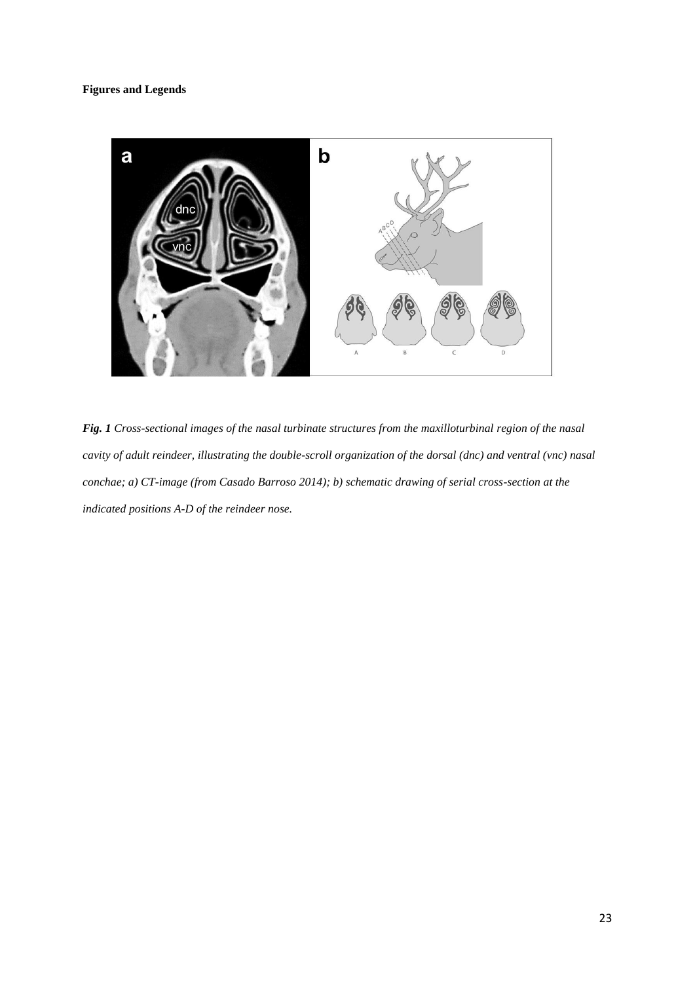## **Figures and Legends**



*Fig. 1 Cross-sectional images of the nasal turbinate structures from the maxilloturbinal region of the nasal cavity of adult reindeer, illustrating the double-scroll organization of the dorsal (dnc) and ventral (vnc) nasal conchae; a) CT-image (from Casado Barroso 2014); b) schematic drawing of serial cross-section at the indicated positions A-D of the reindeer nose.*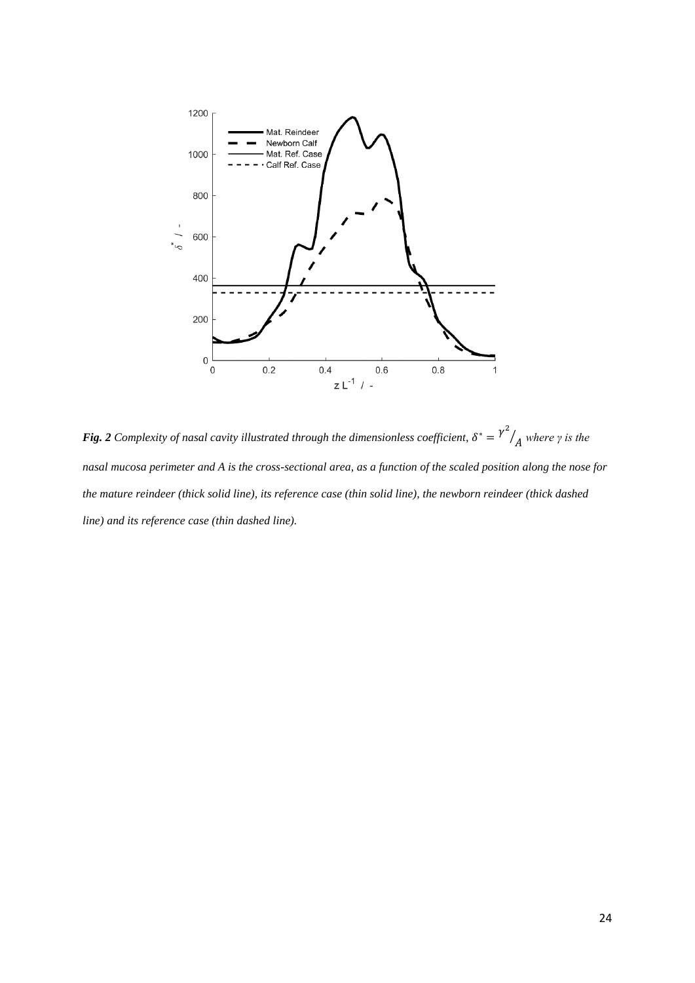

<span id="page-23-0"></span>**Fig. 2** Complexity of nasal cavity illustrated through the dimensionless coefficient,  $\delta^* = \gamma^2$  $\frac{1}{4}$  *where*  $\gamma$  *is the nasal mucosa perimeter and A is the cross-sectional area, as a function of the scaled position along the nose for the mature reindeer (thick solid line), its reference case (thin solid line), the newborn reindeer (thick dashed line) and its reference case (thin dashed line).*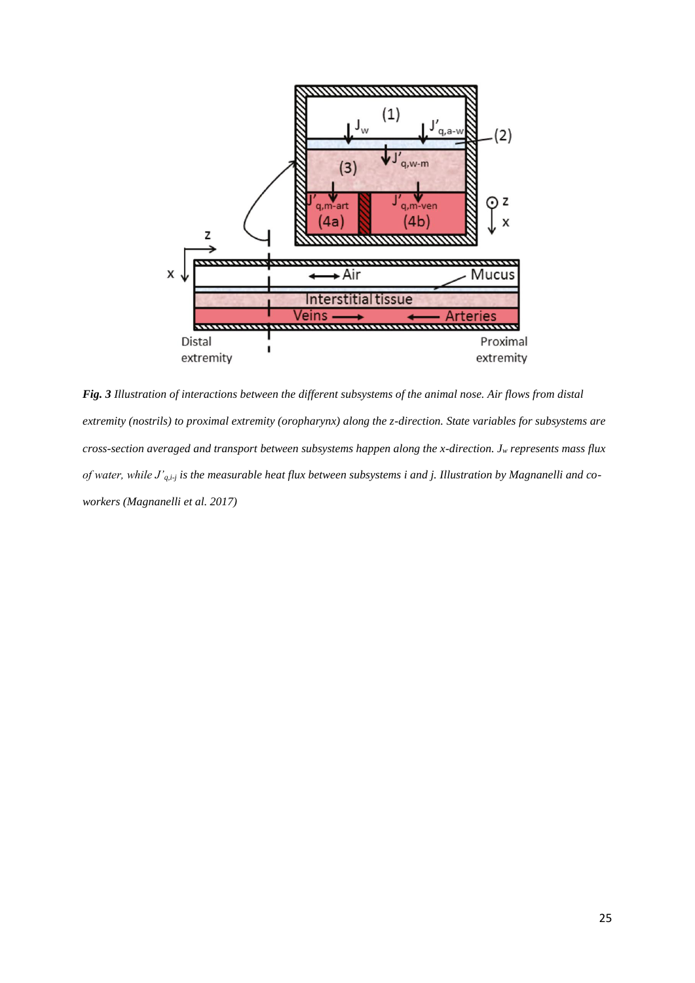

*Fig. 3 Illustration of interactions between the different subsystems of the animal nose. Air flows from distal extremity (nostrils) to proximal extremity (oropharynx) along the z-direction. State variables for subsystems are cross-section averaged and transport between subsystems happen along the x-direction. J<sup>w</sup> represents mass flux of water, while J'q,i-j is the measurable heat flux between subsystems i and j. Illustration by Magnanelli and coworkers (Magnanelli et al. 2017)*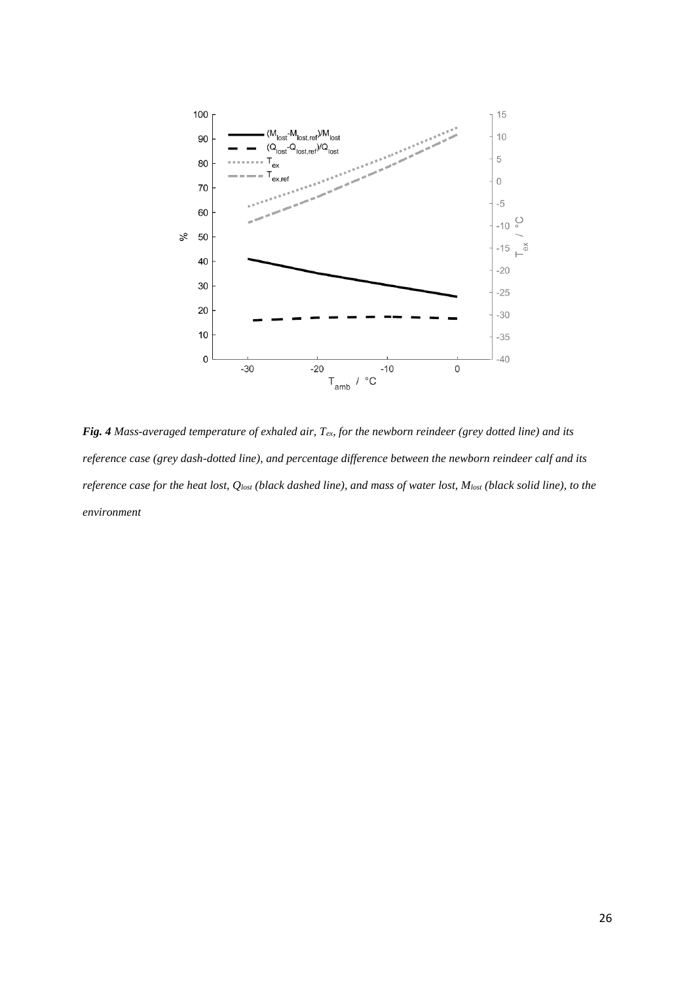

*Fig. 4 Mass-averaged temperature of exhaled air, Tex, for the newborn reindeer (grey dotted line) and its reference case (grey dash-dotted line), and percentage difference between the newborn reindeer calf and its reference case for the heat lost, Qlost (black dashed line), and mass of water lost, Mlost (black solid line), to the environment*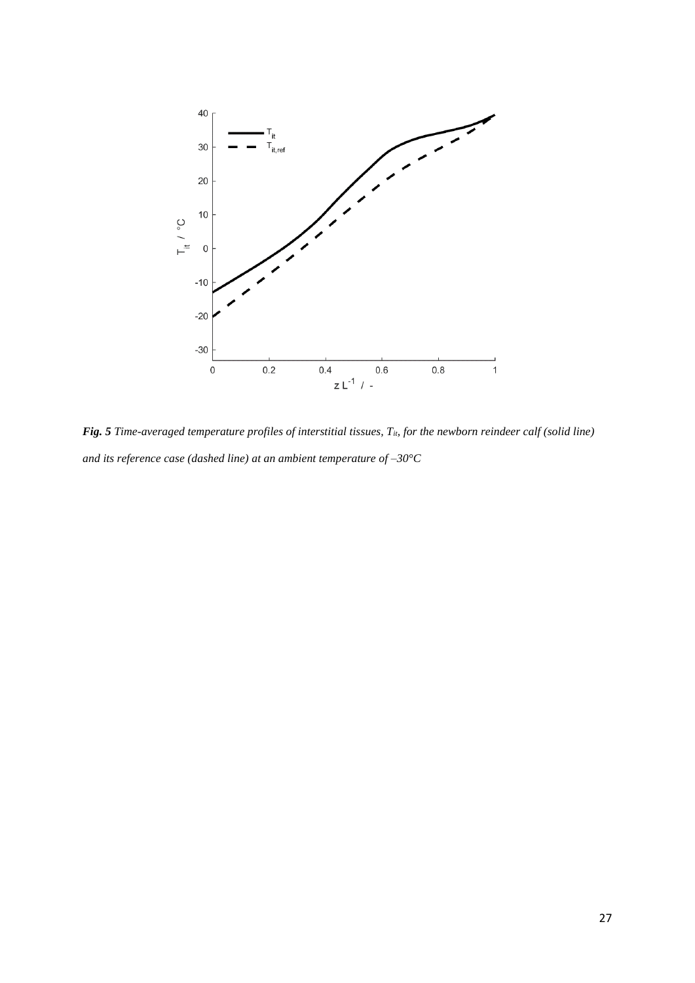

<span id="page-26-0"></span>*Fig. 5 Time-averaged temperature profiles of interstitial tissues, T<sub><i>it*</sub> for the newborn reindeer calf (solid line) *and its reference case (dashed line) at an ambient temperature of –30°C*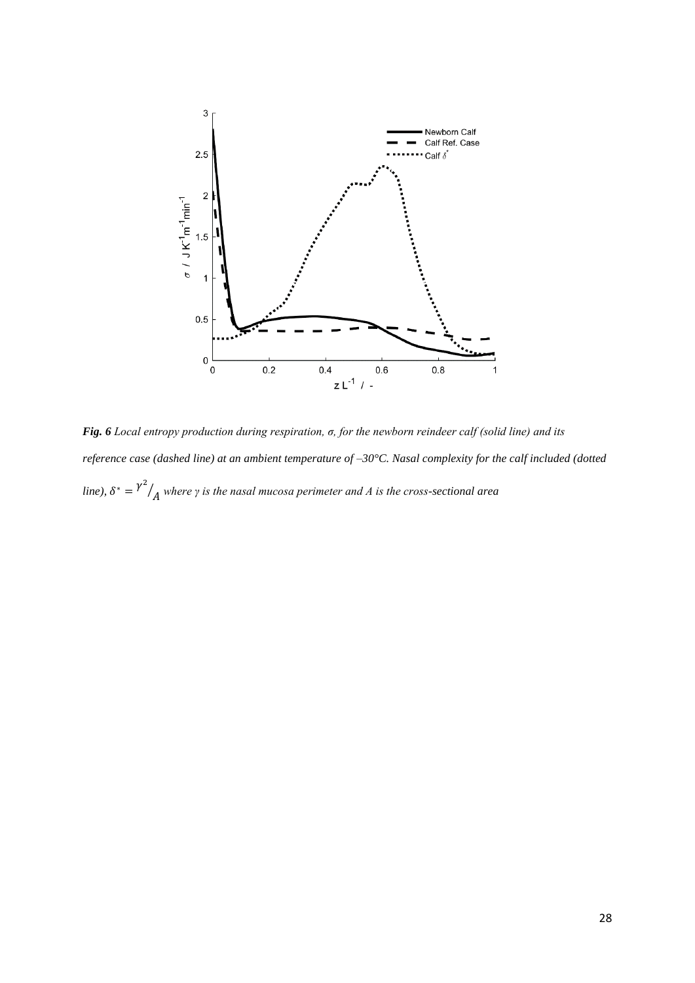

<span id="page-27-0"></span>*Fig. 6 Local entropy production during respiration, σ, for the newborn reindeer calf (solid line) and its reference case (dashed line) at an ambient temperature of –30°C. Nasal complexity for the calf included (dotted line*),  $\delta^* = \gamma^2$ ⁄ *where γ is the nasal mucosa perimeter and A is the cross-sectional area*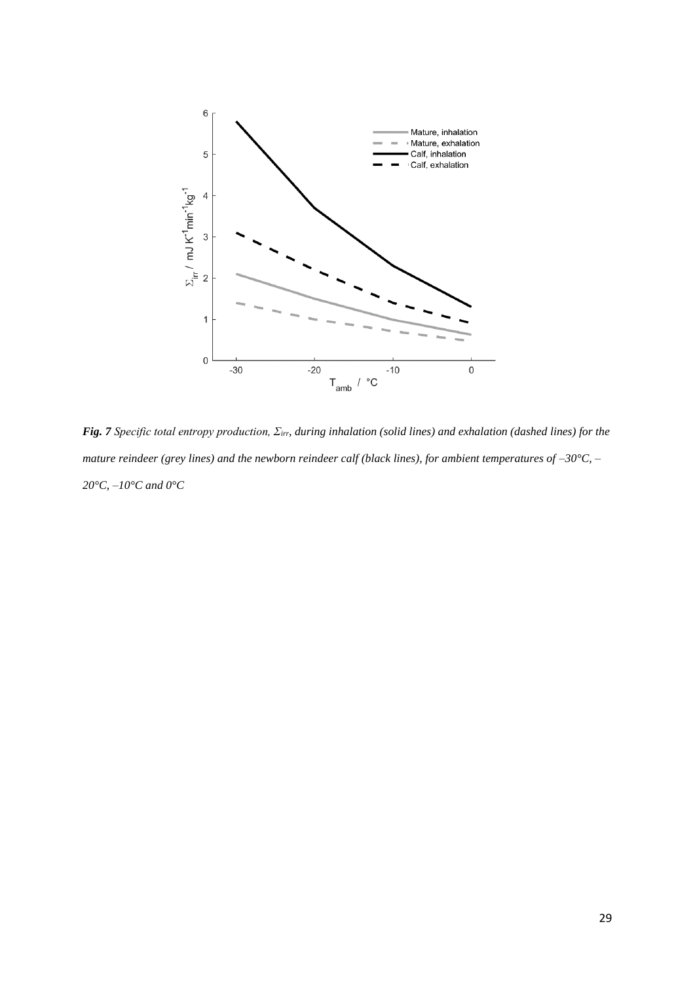

<span id="page-28-0"></span>*Fig. 7 Specific total entropy production, Σirr, during inhalation (solid lines) and exhalation (dashed lines) for the mature reindeer (grey lines) and the newborn reindeer calf (black lines), for ambient temperatures of –30°C, – 20°C, –10°C and 0°C*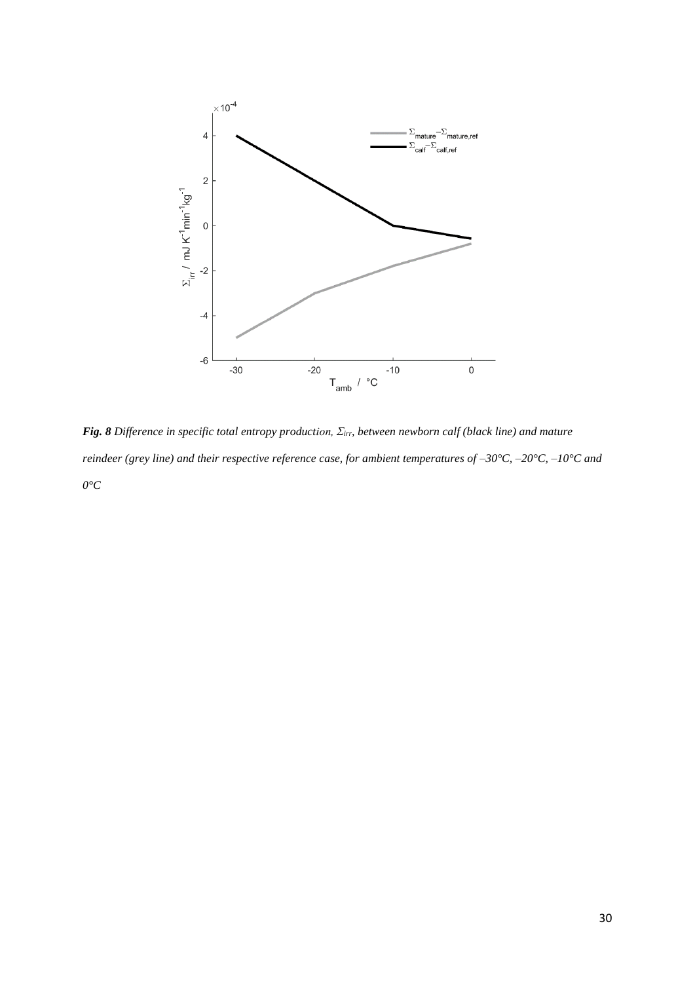

*Fig. 8 Difference in specific total entropy production, Σirr, between newborn calf (black line) and mature reindeer (grey line) and their respective reference case, for ambient temperatures of –30°C, –20°C, –10°C and 0°C*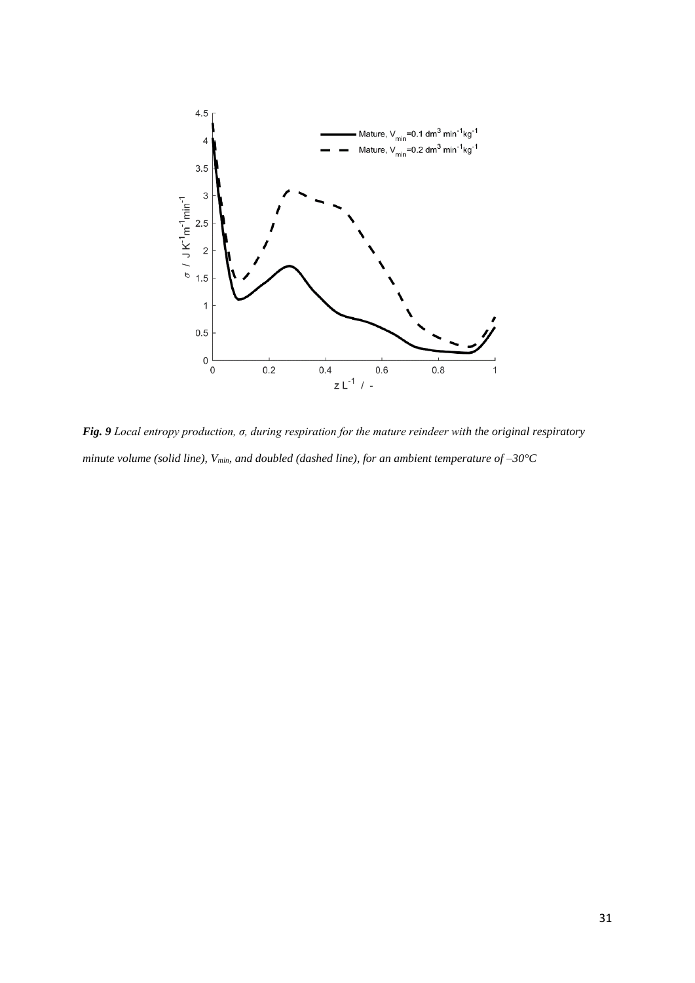

*Fig. 9 Local entropy production, σ, during respiration for the mature reindeer with the original respiratory minute volume (solid line), Vmin, and doubled (dashed line), for an ambient temperature of –30°C*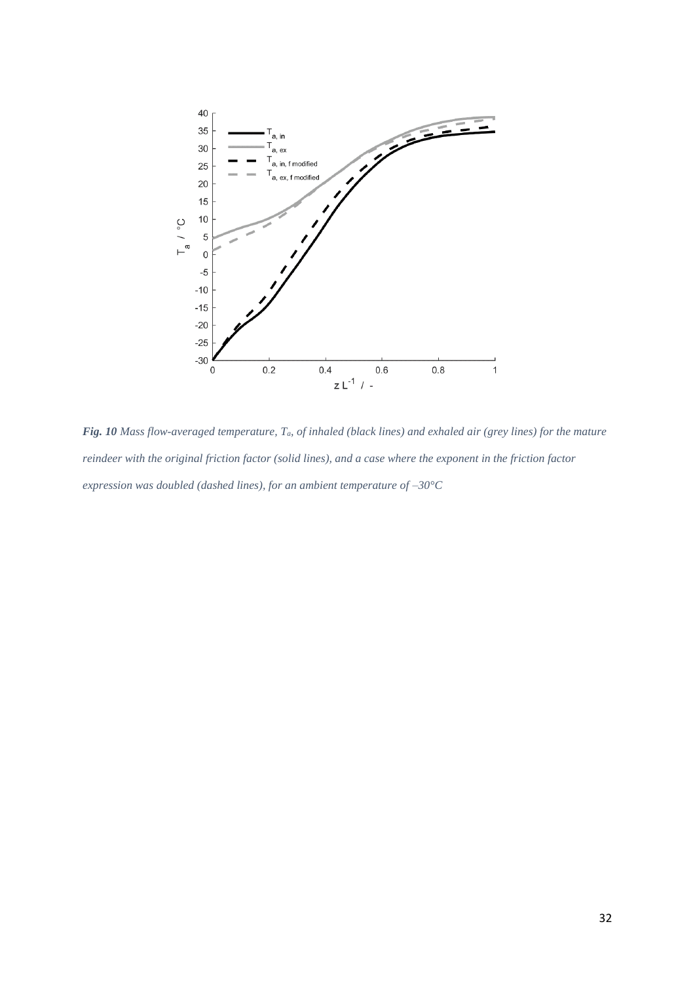

*Fig. 10 Mass flow-averaged temperature, Ta, of inhaled (black lines) and exhaled air (grey lines) for the mature reindeer with the original friction factor (solid lines), and a case where the exponent in the friction factor expression was doubled (dashed lines), for an ambient temperature of –30°C*